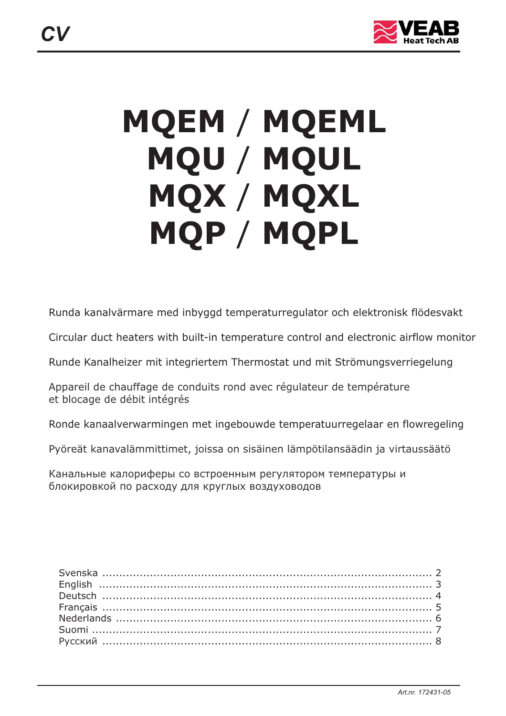

# **MQEM / MQEML MQU / MQUL MQX / MQXL** MQP / MQPL

Runda kanalvärmare med inbyggd temperaturregulator och elektronisk flödesvakt

Circular duct heaters with built-in temperature control and electronic airflow monitor

Runde Kanalheizer mit integriertem Thermostat und mit Strömungsverriegelung

Appareil de chauffage de conduits rond avec régulateur de température et blocage de débit intégrés

Ronde kanaalverwarmingen met ingebouwde temperatuurregelaar en flowregeling

Pyöreät kanavalämmittimet, joissa on sisäinen lämpötilansäädin ja virtaussäätö

Канальные калориферы со встроенным регулятором температуры и блокировкой по расходу для круглых воздуховодов

*CV*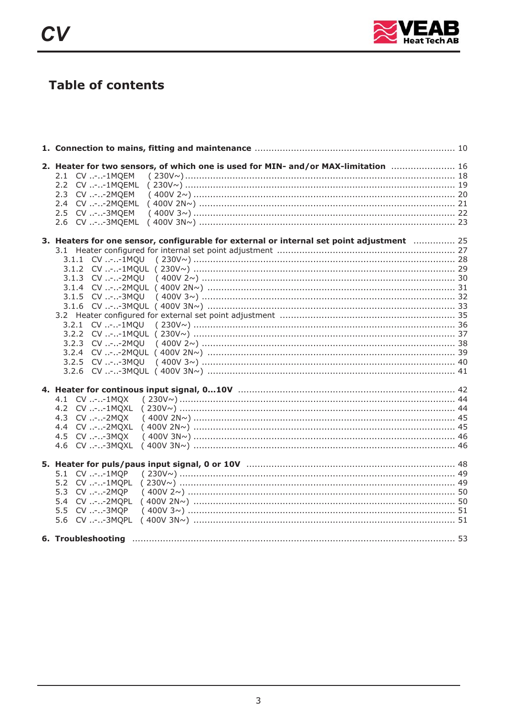

## **Table of contents**

| 2. Heater for two sensors, of which one is used for MIN- and/or MAX-limitation  16<br>2.1 CV --1MQEM |  |
|------------------------------------------------------------------------------------------------------|--|
| 2.2 CV --1MOEML                                                                                      |  |
| 2.3 CV --2MOEM                                                                                       |  |
| 2.4 CV --2MQEML                                                                                      |  |
|                                                                                                      |  |
| 2.5 CV --3MQEM                                                                                       |  |
|                                                                                                      |  |
| 3. Heaters for one sensor, configurable for external or internal set point adjustment  25            |  |
|                                                                                                      |  |
|                                                                                                      |  |
|                                                                                                      |  |
|                                                                                                      |  |
|                                                                                                      |  |
|                                                                                                      |  |
|                                                                                                      |  |
|                                                                                                      |  |
|                                                                                                      |  |
|                                                                                                      |  |
|                                                                                                      |  |
|                                                                                                      |  |
|                                                                                                      |  |
|                                                                                                      |  |
|                                                                                                      |  |
|                                                                                                      |  |
| 4.1 CV --1MOX                                                                                        |  |
| 4.2 CV --1MOXL                                                                                       |  |
| 4.3 CV --2MOX                                                                                        |  |
| 4.4 CV --2MQXL                                                                                       |  |
| 4.5 CV --3MOX                                                                                        |  |
| 4.6 CV --3MOXL                                                                                       |  |
|                                                                                                      |  |
| 5.1 CV --1MQP                                                                                        |  |
| 5.2 CV --1MOPL                                                                                       |  |
| 5.3 CV --2MOP                                                                                        |  |
| 5.4 CV --2MOPL                                                                                       |  |
| 5.5 CV --3MQP                                                                                        |  |
| 5.6 CV --3MQPL                                                                                       |  |
|                                                                                                      |  |
|                                                                                                      |  |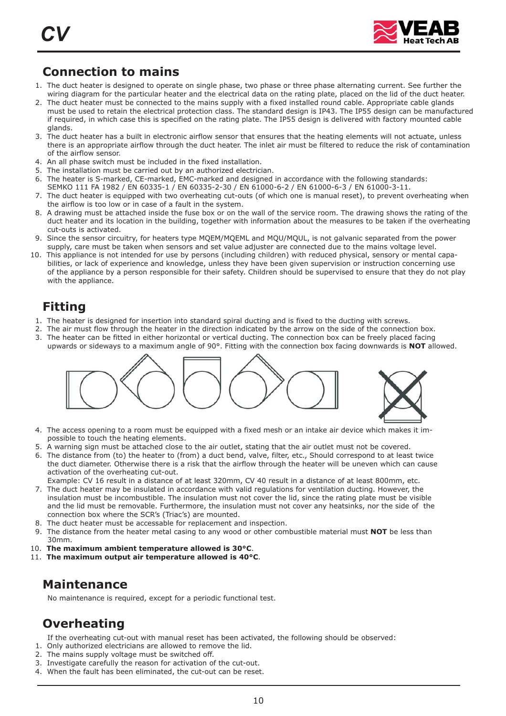

## **Connection to mains**

- 1. The duct heater is designed to operate on single phase, two phase or three phase alternating current. See further the wiring diagram for the particular heater and the electrical data on the rating plate, placed on the lid of the duct heater.
- 2. The duct heater must be connected to the mains supply with a fixed installed round cable. Appropriate cable glands must be used to retain the electrical protection class. The standard design is IP43. The IP55 design can be manufactured if required, in which case this is specified on the rating plate. The IP55 design is delivered with factory mounted cable glands.
- 3. The duct heater has a built in electronic airflow sensor that ensures that the heating elements will not actuate, unless there is an appropriate airflow through the duct heater. The inlet air must be filtered to reduce the risk of contamination of the airflow sensor .
- 4. An all phase switch must be included in the fixed installation.
- 5. The installation must be carried out by an authorized electrician.
- 6. The heater is S-marked, CE-marked, EMC-marked and designed in accordance with the following standards:
- SEMKO 111 FA 1982 / EN 60335-1 / EN 60335-2-30 / EN 61000-6-2 / EN 61000-6-3 / EN 61000-3-11. 7. The duct heater is equipped with two overheating cut-outs (of which one is manual reset), to prevent overheating when the airflow is too low or in case of a fault in the system.
- 8. A drawing must be attached inside the fuse box or on the wall of the service room. The drawing shows the rating of the duct heater and its location in the building, together with information about the measures to be taken if the overheating cut-outs is activated.
- 9. Since the sensor circuitry, for heaters type MQEM/MQEML and MQU/MQUL, is not galvanic separated from the power supply, care must be taken when sensors and set value adjuster are connected due to the mains voltage level.
- 10. This appliance is not intended for use by persons (including children) with reduced physical, sensory or mental capabilities, or lack of experience and knowledge, unless they have been given supervision or instruction concerning use of the appliance by a person responsible for their safety. Children should be supervised to ensure that they do not play with the appliance.

## **Fitting**

- 1. The heater is designed for insertion into standard spiral ducting and is fixed to the ducting with screws.
- 2. The air must flow through the heater in the direction indicated by the arrow on the side of the connection box.
- 3. The heater can be fitted in either horizontal or vertical ducting. The connection box can be freely placed facing upwards or sideways to a maximum angle of 90°. Fitting with the connection box facing downwards is **NOT** allowed.



- 4. The access opening to a room must be equipped with a fixed mesh or an intake air device which makes it impossible to touch the heating elements.
- 5. A warning sign must be attached close to the air outlet, stating that the air outlet must not be covered.
- 6. The distance from (to) the heater to (from) a duct bend, valve, filter, etc., Should correspond to at least twice the duct diameter. Otherwise there is a risk that the airflow through the heater will be uneven which can cause activation of the overheating cut-out.
- Example: CV 16 result in a distance of at least 320mm, CV 40 result in a distance of at least 800mm, etc. 7. The duct heater may be insulated in accordance with valid regulations for ventilation ducting. However, the insulation must be incombustible. The insulation must not cover the lid, since the rating plate must be visible and the lid must be removable. Furthermore, the insulation must not cover any heatsinks, nor the side of the connection box where the SCR's (Triac's) are mounted.
- 8. The duct heater must be accessable for replacement and inspection.
- 9. The distance from the heater metal casing to any wood or other combustible material must NOT be less than 30mm.
- 10. The maximum ambient temperature allowed is 30°C.
- 11. The maximum output air temperature allowed is 40<sup>o</sup>C.

## **Maintenance**

No maintenance is required, except for a periodic functional test.

## **Overheating**

If the overheating cut-out with manual reset has been activated, the following should be observed:

- 1. Only authorized electricians are allowed to remove the lid.
- 2. The mains supply voltage must be switched off.
- 3. Investigate carefully the reason for activation of the cut-out.
- 4. When the fault has been eliminated, the cut-out can be reset.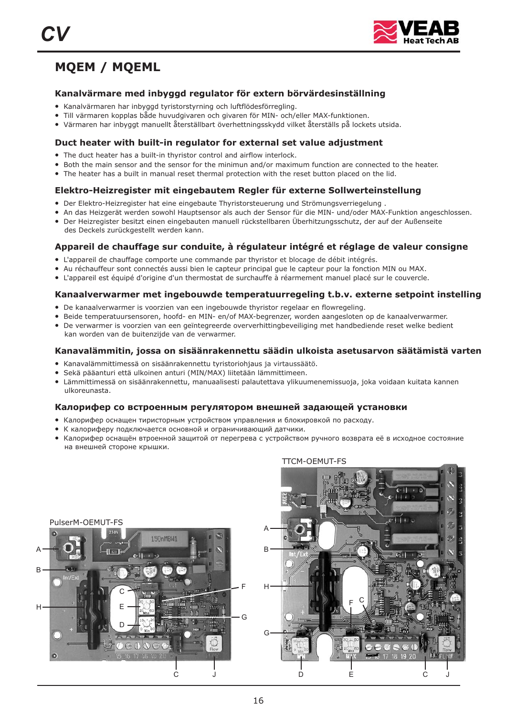

## **MQEM / MQEML**

#### **Kanalvärmare med inbyggd regulator för extern börvärdesinställning**

- Kanalvärmaren har inbyggd tyristorstyrning och luftflödesförregling.
- Till värmaren kopplas både huvudgivaren och givaren för MIN- och/eller MAX-funktionen.
- Värmaren har inbyggt manuellt återställbart överhettningsskydd vilket återställs på lockets utsida.

#### **Duct heater with built-in regulator for external set value adjustment**

- The duct heater has a built-in thyristor control and airflow interlock.
- Both the main sensor and the sensor for the minimun and/or maximum function are connected to the heater.
- The heater has a built in manual reset thermal protection with the reset button placed on the lid.

#### **Elektro-Heizregister mit eingebautem Regler für externe Sollwerteinstellung**

- ●Der Elektro-Heizregister hat eine eingebaute Thyristorsteuerung und Strömungsverriegelung .
- An das Heizgerät werden sowohl Hauptsensor als auch der Sensor für die MIN- und/oder MAX-Funktion angeschlossen.
- Der Heizregister besitzt einen eingebauten manuell rückstellbaren Überhitzungsschutz, der auf der Außenseite
- des Deckels zurückgestellt werden kann.

#### **Appareil de chauffage sur conduite, à régulateur intégré et réglage de valeur consigne**

- L'appareil de chauffage comporte une commande par thyristor et blocage de débit intégrés.
- Au réchauffeur sont connectés aussi bien le capteur principal gue le capteur pour la fonction MIN ou MAX.
- L'appareil est équipé d'origine d'un thermostat de surchauffe à réarmement manuel placé sur le couvercle.

#### **Kanaalverwarmer met ingebouwde temperatuurregeling t.b.v. externe setpoint instelling**

- De kanaalverwarmer is voorzien van een ingebouwde thyristor regelaar en flowregeling.
- Beide temperatuursensoren, hoofd- en MIN- en/of MAX-begrenzer, worden aangesloten op de kanaalverwarmer.
- De verwarmer is voorzien van een geïntegreerde oververhittingbeveiliging met handbediende reset welke bedient kan worden van de buitenzijde van de verwarmer.

#### **Kanavalämmitin, jossa on sisäänrakennettu säädin ulkoista asetusarvon säätämistä varten**

- Kanavalämmittimessä on sisäänrakennettu tyristoriohjaus ja virtaussäätö.
- ●Sekä pääanturi että ulkoinen anturi (MIN/MAX) liitetään lämmittimeen.
- Lämmittimessä on sisäänrakennettu, manuaalisesti palautettava ylikuumenemissuoja, joka voidaan kuitata kannen ulkoreunasta.

#### **Калорифер со встроенным регулятором внешней задающей установки**

- . Калорифер оснащен тиристорным устройством управления и блокировкой по расходу
- К калориферу подключается основной и ограничивающий датчики.
- солног<sub>раду</sub> соделащён втроенной защитой от перегрева с устройством ручного возврата её в исходное состояние<br>● Калорифер оснащён втроенной защитой от перегрева с устройством ручного возврата её в исходное состояние . на внешней стороне крышки



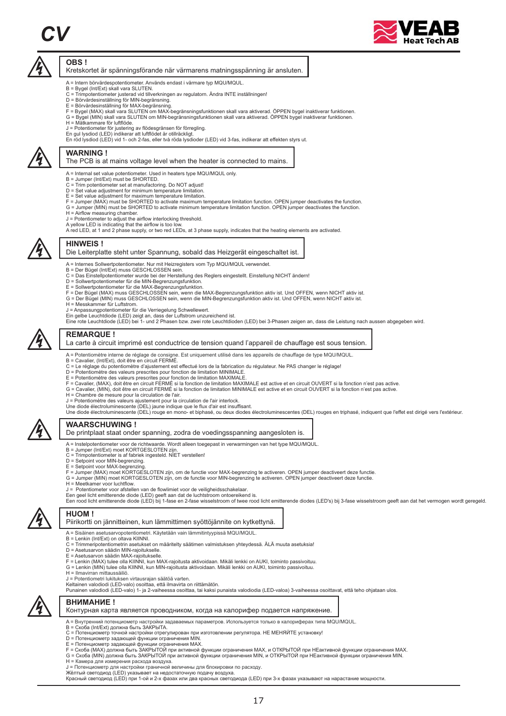## *CV*



#### **OBS !**

Kretskortet är spänningsförande när värmarens matningsspänning är ansluten.

- A = Intern börvärdespotentiometer. Används endast i värmare typ MQU/MQUL. B = Bygel (Int/Ext) skall vara SLUTEN.
- 
- 
- 
- 
- C = Trimpotentiometer justerad vid tillverkningen av regulatorn. Andra INTE inställningen!<br>D = Börvärdesinställning för MN-begränsning.<br>E = Börvärdesinställning för MAX-begränsning.<br>F = Bygel (MAX) skall vara SLUTEN om MAX
- H = Mätkammare för luftflöde.
- 
- J = Potentiometer för justering av flödesgränsen för förregling. En gul lysdiod (LED) indikerar att luftflödet är otillräckligt.
- En röd lysdiod (LED) vid 1- och 2-fas, eller två röda lysdioder (LED) vid 3-fas, indikerar att effekten styrs ut.



 $\overline{\mathbb{A}}$ 

#### **WARNING !**

#### The PCB is at mains voltage level when the heater is connected to mains.

- A = Internal set value potentiometer. Used in heaters type MQU/MQUL only. B = Jumper (Int/Ext) must be SHORTED.
- 
- C = Trim potentiometer set at manufactoring. Do NOT adjust!
- D = Set value adjustment for minimum temperature limitation. E = Set value adjustment for maximum temperature limitation.
- 
- F = Jumper (MAX) must be SHORTED to activate maximum temperature limitation function. OPEN jumper deactivates the function.<br>G = Jumper (MIN) must be SHORTED to activate minimum temperature limitation function. OPEN jumper
- 
- 
- A red LED, at 1 and 2 phase supply, or two red LEDs, at 3 phase supply, indicates that the heating elements are activated.



#### **HINWEIS !**

#### Die Leiterplatte steht unter Spannung, sobald das Heizgerät eingeschaltet ist.

- A = Internes Sollwertpotentiometer. Nur mit Heizregisters vom Typ MQU/MQUL verwendet.
- 
- B = Der Bügel (Int/Ext) muss GESCHLOSSEN sein. C = Das Einstellpotentiometer wurde bei der Herstellung des Reglers eingestellt. Einstellung NICHT ändern!
- D = Sollwertpotentiometer für die MIN-Begrenzungsfunktion. E = Sollwertpotentiometer für die MAX-Begrenzungsfunktion.
- 
- F = Der Bügel (MAX) muss GESCHLOSSEN sein, wenn die MAX-Begrenzungsfunktion aktiv ist. Und OFFEN, wenn NICHT aktiv ist.<br>G = Der Bügel (MIN) muss GESCHLOSSEN sein, wenn die MIN-Begrenzungsfunktion aktiv ist. Und OFFEN, wenn
- H = Messkammer für Luftstrom.
- J = Anpassungpotentiometer für die Verriegelung Schwellewert.
- 
- Ein gelbe Leuchtdiode (LED) zeigt an, dass der Luftstrom unzureichend ist.<br>Eine rote Leuchtdiode (LED) bei 1- und 2 Phasen bzw. zwei rote Leuchtdioden (LED) bei 3-Phasen zeigen an, dass die Leistung nach aussen abgegeben w



#### **REMARQUE !**

- La carte à circuit imprimé est conductrice de tension quand l'appareil de chauffage est sous tension.
- A = Potentiomètre interne de réglage de consigne. Est uniquement utilisé dans les appareils de chauffage de type MQU/MQUL.<br>B = Cavalier, (Int/Ext), doit être en circuit FERMÉ.
- 
- C = Le réglage du potentiomètre d'ajustement est effectué lors de la fabrication du régulateur. Ne PAS changer le réglage!<br>D = Potentiomètre des valeurs prescrites pour fonction de limitation MINIMALE.
- 
- 
- E = Potentiomètre des valeurs prescrites pour fonction de limitation MAXIMALE.<br>F = Cavalier, (MAX), doit être en circuit FERMÉ si la fonction de limitation MAXIMALE est active et en circuit OUVERT si la fonction n'est pas
- 
- 
- Une diode électroluminescente (DEL) rouge en mono- et biphasé, ou deux diodes électroluminescentes (DEL) rouges en triphasé, indiquent que l'effet est dirigé vers l'extérieur.



#### **WAARSCHUWING !**

#### De printplaat staat onder spanning, zodra de voedingsspanning aangesloten is.

- A = Instelpotentiometer voor de richtwaarde. Wordt alleen toegepast in verwarmingen van het type MQU/MQUL.
- B = Jumper (Int/Ext) moet KORTGESLOTEN zijn.
- C = Trimpotentiometer is af fabriek ingesteld. NIET verstellen! D = Setpoint voor MIN-begrenzing.
- 
- 
- E = Setpoint voor MAX-begrenzing. F = Jumper (MAX) moet KORTGESLOTEN zijn, om de functie voor MAX-begrenzing te activeren. OPEN jumper deactiveert deze functie.
- G = Jumper (MIN) moet KORTGESLOTEN zijn, om de functie voor MIN-begrenzing te activeren. OPEN jumper deactiveert deze functie.
- 
- H = Meetkamer voor luchtflow.<br>J = Potentiometer voor afstellen van de flowlimiet voor de veiligheidsschakelaar.
- Een geel licht emitterende diode (LED) geeft aan dat de luchtstroom ontoereikend is.<br>Een rood licht emitterende diode (LED) bij 1-fase en 2-fase wisselstroom of twee rood licht emitterende diodes (LED's) bij 3-fase wissels



#### **HUOM !**

- Piirikortti on jännitteinen, kun lämmittimen syöttöjännite on kytkettynä.
- A = S isäinen asetusarvopotentiometri. Käytetään vain lämmitintyypissä MQU/MQUL.
- 
- B = Lenkin (Int/Ext) on oltava KIINNI. C = Trimmeripotentiometrin asetukset on määritelty säätimen valmistuksen yhteydessä. ÄLÄ muuta asetuksia!
- D = Asetusarvon säädin MIN-rajoitukselle. E = Asetusarvon säädin MAX-rajoitukselle.
- 
- F = Lenkin (MAX) tulee olla KIINNI, kun MAX-rajoitusta aktivoidaan. Mikäli lenkki on AUKI, toiminto passivoituu. G = Lenkin (MIN) tulee olla KIINNI, kun MIN-rajoitusta aktivoidaan. Mikäli lenkki on AUKI, toiminto passivoituu.<br>H = Ilmavirran mittaussäiliö.
- 
- 
- 

J = Potentiometri lukituksen virtausrajan säätöä varten.<br>Keltainen valodiodi (LED-valo) osoittaa, että ilmavirta on riittämätön.<br>Punainen valodiodi (LED-valo) 1- ja 2-vaiheessa osoittaa, tai kaksi punaista valodiodia (LED-



**ВНИМАНИЕ !**

#### Контурная карта является проводником, когда на калорифер подается напряжение.

- A = Внутренний потенциометр настройки задаваемых параметров. Используется только в калориферах типа MQU/MQUL.<br>B = Скоба (Int/Ext) должна быть ЗАКРЫТА.
- 
- 
- 
- 
- С = Потенциометр точной настройки отрегулирован при изготовлении регулятора. НЕ МЕНЯИТЕ установку!<br>D = Потенциометр задающей функции ограничения MIN.<br>Е = Потенциометр задающей функции ограничения MAX.<br>E = Скоба (MAX) долж
- H = Камера для измерения расхода воздуха.
- 
- 
- J = Потенциометр для настройки граничной величины для блокировки по расходу.<br>Жёлтый светодиод (LED) указывает на недостаточную подачу воздуха.<br>Красный светодиод (LED) при 1-ой и 2-х фазах или два красных светодиода (LED)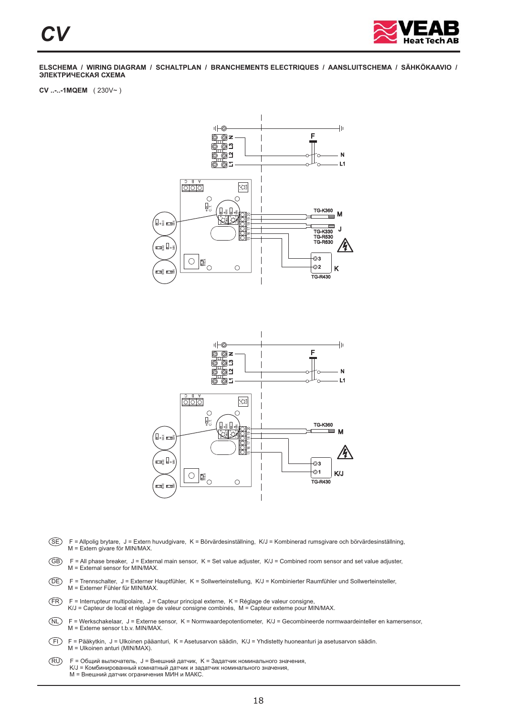

**CV ..-..-1MQEM** ( 230V~ )



- SE F = Allpolig brytare, J = Extern huvudgivare, K = Börvärdesinställning, K/J = Kombinerad rumsgivare och börvärdesinställning, M = Extern givare för MIN/MAX.
- $(GB)$  F = All phase breaker, J = External main sensor, K = Set value adjuster, K/J = Combined room sensor and set value adjuster, M = External sensor for MIN/MAX.
- DE F = Trennschalter, J = Externer Hauptfühler, K = Sollwerteinstellung, K/J = Kombinierter Raumfühler und Sollwerteinsteller, M = Externer Fühler für MIN/MAX.
- FR F = Interrupteur multipolaire, J = Capteur principal externe, K = Réglage de valeur consigne, K/J = Capteur de local et réglage de valeur consigne combinés, M = Capteur externe pour MIN/MAX.
- NL) F = Werkschakelaar, J = Externe sensor, K = Normwaardepotentiometer, K/J = Gecombineerde normwaardeinteller en kamersensor,<br>M = Externe sensor t.b.v. MIN/MAX.
- FI F = Pääkytkin, J = Ulkoinen pääanturi, K = Asetusarvon säädin, K/J = Yhdistetty huoneanturi ja asetusarvon säädin. M = Ulkoinen anturi (MIN/MAX).
- RU . M = Внешний датчик ограничения МИН и МАКС F = Общий вылючатель, J = Внешний датчик, K = Задатчик номинального значения, K/J = Комбинированный комнатный датчик и задатчик номинального значения,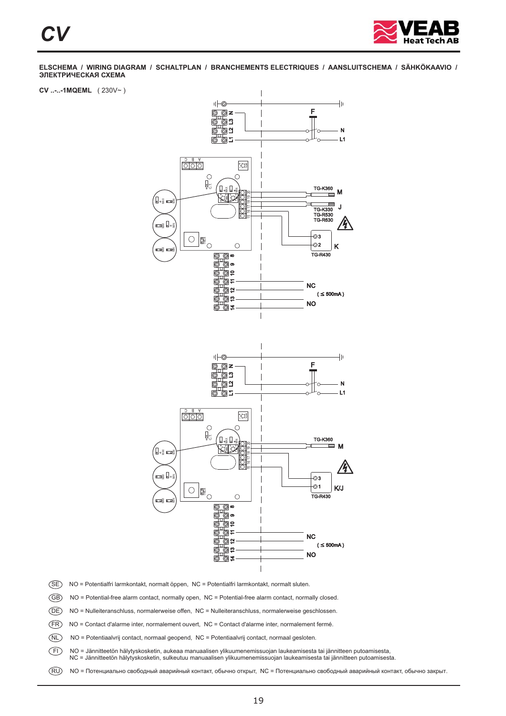

**CV ..-..-1MQEML** ( 230V~ )



- SE NO = Potentialfri larmkontakt, normalt öppen, NC = Potentialfri larmkontakt, normalt sluten.
- GB NO = Potential-free alarm contact, normally open, NC = Potential-free alarm contact, normally closed.
- DE NO = Nulleiteranschluss, normalerweise offen, NC = Nulleiteranschluss, normalerweise geschlossen.
- FR NO = Contact d'alarme inter, normalement ouvert, NC = Contact d'alarme inter, normalement fermé.
- NL NO = Potentiaalvrij contact, normaal geopend, NC = Potentiaalvrij contact, normaal gesloten.
- FI NO = Jännitteetön hälytyskosketin, aukeaa manuaalisen ylikuumenemissuojan laukeamisesta tai jännitteen putoamisesta,
	- NC = Jännitteetön hälytyskosketin, sulkeutuu manuaalisen ylikuumenemissuojan laukeamisesta tai jännitteen putoamisesta.
-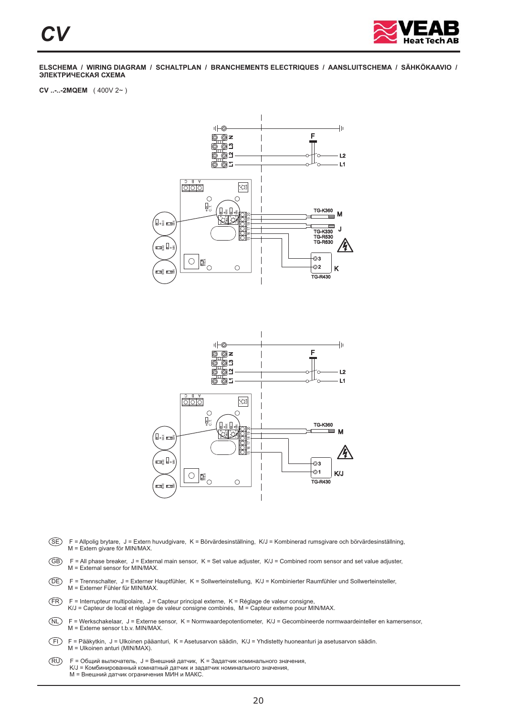

**CV ..-..-2MQEM** ( 400V 2~ )



- SE F = Allpolig brytare, J = Extern huvudgivare, K = Börvärdesinställning, K/J = Kombinerad rumsgivare och börvärdesinställning, M = Extern givare för MIN/MAX.
- $(GB)$  F = All phase breaker, J = External main sensor, K = Set value adjuster, K/J = Combined room sensor and set value adjuster, M = External sensor for MIN/MAX.
- DE F = Trennschalter, J = Externer Hauptfühler, K = Sollwerteinstellung, K/J = Kombinierter Raumfühler und Sollwerteinsteller, M = Externer Fühler für MIN/MAX.
- FR F = Interrupteur multipolaire, J = Capteur principal externe, K = Réglage de valeur consigne, K/J = Capteur de local et réglage de valeur consigne combinés, M = Capteur externe pour MIN/MAX.
- NL) F = Werkschakelaar, J = Externe sensor, K = Normwaardepotentiometer, K/J = Gecombineerde normwaardeinteller en kamersensor,<br>M = Externe sensor t.b.v. MIN/MAX.
- FI F = Pääkytkin, J = Ulkoinen pääanturi, K = Asetusarvon säädin, K/J = Yhdistetty huoneanturi ja asetusarvon säädin. M = Ulkoinen anturi (MIN/MAX).
- RU . M = Внешний датчик ограничения МИН и МАКС F = Общий вылючатель, J = Внешний датчик, K = Задатчик номинального значения, K/J = Комбинированный комнатный датчик и задатчик номинального значения,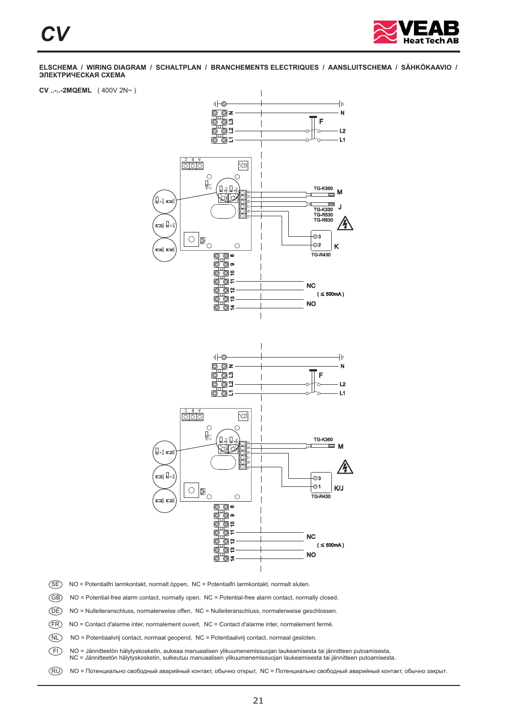

**CV ..-..-2MQEML** ( 400V 2N~ )



- SE NO = Potentialfri larmkontakt, normalt öppen, NC = Potentialfri larmkontakt, normalt sluten.
- GB NO = Potential-free alarm contact, normally open, NC = Potential-free alarm contact, normally closed.
- DE NO = Nulleiteranschluss, normalerweise offen, NC = Nulleiteranschluss, normalerweise geschlossen.
- FR NO = Contact d'alarme inter, normalement ouvert, NC = Contact d'alarme inter, normalement fermé.
- NL NO = Potentiaalvrij contact, normaal geopend, NC = Potentiaalvrij contact, normaal gesloten.
- FI NO = Jännitteetön hälytyskosketin, aukeaa manuaalisen ylikuumenemissuojan laukeamisesta tai jännitteen putoamisesta,
	- NC = Jännitteetön hälytyskosketin, sulkeutuu manuaalisen ylikuumenemissuojan laukeamisesta tai jännitteen putoamisesta.
-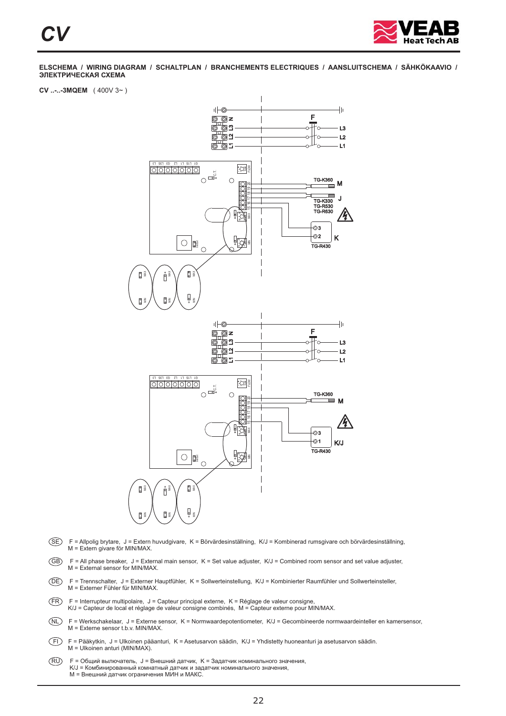

#### **CV ..-..-3MQEM** ( 400V 3~ )



- SE F = Allpolig brytare, J = Extern huvudgivare, K = Börvärdesinställning, K/J = Kombinerad rumsgivare och börvärdesinställning, M = Extern givare för MIN/MAX.
- $(GB)$  F = All phase breaker, J = External main sensor, K = Set value adjuster, K/J = Combined room sensor and set value adjuster, M = External sensor for MIN/MAX.
- DE F = Trennschalter, J = Externer Hauptfühler, K = Sollwerteinstellung, K/J = Kombinierter Raumfühler und Sollwerteinsteller, M = Externer Fühler für MIN/MAX.
- FR F = Interrupteur multipolaire, J = Capteur principal externe, K = Réglage de valeur consigne, K/J = Capteur de local et réglage de valeur consigne combinés, M = Capteur externe pour MIN/MAX.
- NL) F = Werkschakelaar, J = Externe sensor, K = Normwaardepotentiometer, K/J = Gecombineerde normwaardeinteller en kamersensor,<br>M = Externe sensor t.b.v. MIN/MAX.
- FI F = Pääkytkin, J = Ulkoinen pääanturi, K = Asetusarvon säädin, K/J = Yhdistetty huoneanturi ja asetusarvon säädin. M = Ulkoinen anturi (MIN/MAX).
- RU . M = Внешний датчик ограничения МИН и МАКС F = Общий вылючатель, J = Внешний датчик, K = Задатчик номинального значения, K/J = Комбинированный комнатный датчик и задатчик номинального значения,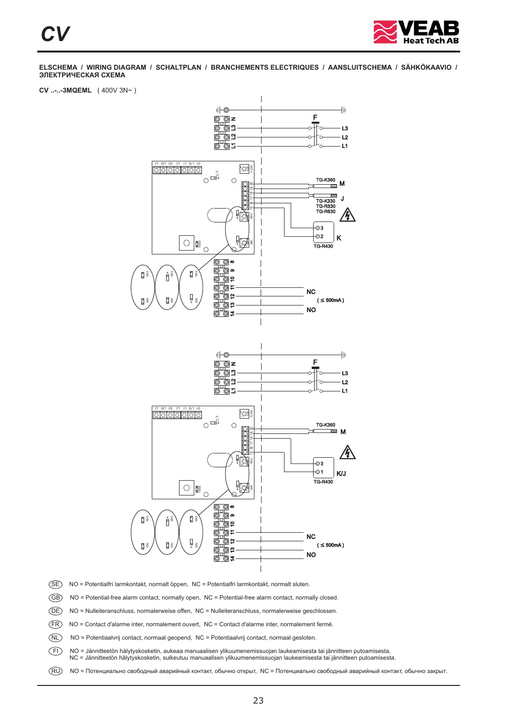

#### **CV ..-..-3MQEML** ( 400V 3N~ )



- SE NO = Potentialfri larmkontakt, normalt öppen, NC = Potentialfri larmkontakt, normalt sluten.
- GB NO = Potential-free alarm contact, normally open, NC = Potential-free alarm contact, normally closed.
- DE NO = Nulleiteranschluss, normalerweise offen, NC = Nulleiteranschluss, normalerweise geschlossen.
- FR NO = Contact d'alarme inter, normalement ouvert, NC = Contact d'alarme inter, normalement fermé.
- NL NO = Potentiaalvrij contact, normaal geopend, NC = Potentiaalvrij contact, normaal gesloten.
- FI NO = Jännitteetön hälytyskosketin, aukeaa manuaalisen ylikuumenemissuojan laukeamisesta tai jännitteen putoamisesta,
- NC = Jännitteetön hälytyskosketin, sulkeutuu manuaalisen ylikuumenemissuojan laukeamisesta tai jännitteen putoamisesta.
-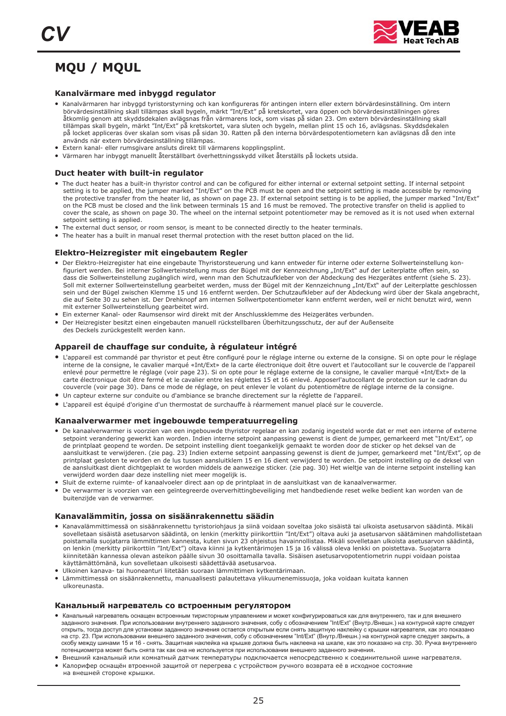

## **MQU / MQUL**

#### **Kanalvärmare med inbyggd regulator**

- Kanalvärmaren har inbyggd tyristorstyrning och kan konfigureras för antingen intern eller extern börvärdesinställning. Om intern börvärdesinställning skall tillämpas skall bygeln, märkt "Int/Ext" på kretskortet, vara öppen och börvärdesinställningen göres åtkomlig genom att skyddsdekalen avlägsnas från värmarens lock, som visas på sidan 23. Om extern börvärdesinställning skall tillämpas skall bygeln, märkt "Int/Ext" på kretskortet, vara sluten och bygeln, mellan plint 15 och 16, avlägsnas. Skyddsdekalen på locket appliceras över skalan som visas på sidan 30. Ratten på den interna börvärdespotentiometern kan avlägsnas då den inte används när extern börvärdesinställning tillämpas.
- Extern kanal- eller rumsgivare ansluts direkt till värmarens kopplingsplint.
- Värmaren har inbyggt manuellt återställbart överhettningsskydd vilket återställs på lockets utsida.

#### **Duct heater with built-in regulator**

- The duct heater has a built-in thyristor control and can be cofigured for either internal or external setpoint setting. If internal setpoint setting is to be applied, the jumper marked "Int/Ext" on the PCB must be open and the setpoint setting is made accessible by removing the protective transfer from the heater lid, as shown on page 23. If external setpoint setting is to be applied, the jumper marked "Int/Ext" on the PCB must be closed and the link between terminals 15 and 16 must be removed. The protective transfer on thelid is applied to cover the scale, as shown on page 30. The wheel on the internal setpoint potentiometer may be removed as it is not used when external setpoint setting is applied.
- seepont setting is applicat.<br>● The external duct sensor, or room sensor, is meant to be connected directly to the heater terminals.
- The heater has a built in manual reset thermal protection with the reset button placed on the lid.

#### **Elektro-Heizregister mit eingebautem Regler**

- Der Elektro-Heizregister hat eine eingebaute Thyristorsteuerung und kann entweder für interne oder externe Sollwerteinstellung konfiguriert werden. Bei interner Sollwerteinstellung muss der Bügel mit der Kennzeichnung "Int/Ext" auf der Leiterplatte offen sein, so dass die Sollwerteinstellung zugänglich wird, wenn man den Schutzaufkleber von der Abdeckung des Hezgerätes entfernt (siehe S. 23). Soll mit externer Sollwerteinstellung gearbeitet werden, muss der Bügel mit der Kennzeichnung "Int/Ext" auf der Leiterplatte geschlossen sein und der Bügel zwischen Klemme 15 und 16 entfernt werden. Der Schutzaufkleber auf der Abdeckung wird über der Skala angebracht, die auf Seite 30 zu sehen ist. Der Drehknopf am internen Sollwertpotentiometer kann entfernt werden, weil er nicht benutzt wird, wenn mit externer Sollwerteinstellung gearbeitet wird.
- Ein externer Sommercembeenung geurbeitet mit der Anschlussklemme des Heizgerätes verbunden.
- Der Heizregister besitzt einen eingebauten manuell rückstellbaren Überhitzungsschutz, der auf der Außenseite des Deckels zurückgestellt werden kann.

#### **Appareil de chauffage sur conduite, à régulateur intégré**

- L'appareil est commandé par thyristor et peut être configuré pour le réglage interne ou externe de la consigne. Si on opte pour le réglage interne de la consigne, le cavalier marqué «Int/Ext» de la carte électronique doit être ouvert et l'autocollant sur le couvercle de l'appareil enlevé pour permettre le réglage (voir page 23). Si on opte pour le réglage externe de la consigne, le cavalier marqué «Int/Ext» de la carte électronique doit être fermé et le cavalier entre les réglettes 15 et 16 enlevé. Apposerl'autocollant de protection sur le cadran du couvercle (voir page 30). Dans ce mode de réglage, on peut enlever le volant du potentiomètre de réglage interne de la consigne.
- Un capteur externe sur conduite ou d'ambiance se branche directement sur la réglette de l'appareil.
- L'appareil est équipé d'origine d'un thermostat de surchauffe à réarmement manuel placé sur le couvercle.

#### **Kanaalverwarmer met ingebouwde temperatuurregeling**

- De kanaalverwarmer is voorzien van een ingebouwde thyristor regelaar en kan zodanig ingesteld worde dat er met een interne of externe setpoint verandering gewerkt kan worden. Indien interne setpoint aanpassing gewenst is dient de jumper, gemarkeerd met "Int/Ext", op de printplaat geopend te worden. De setpoint instelling dient toegankelijk gemaakt te worden door de sticker op het deksel van de aansluitkast te verwijderen. (zie pag. 23) Indien externe setpoint aanpassing gewenst is dient de jumper, gemarkeerd met "Int/Ext", op de printplaat gesloten te worden en de lus tussen aansluitklem 15 en 16 dient verwijderd te worden. De setpoint instelling op de deksel van de aansluitkast dient dichtgeplakt te worden middels de aanwezige sticker. (zie pag. 30) Het wieltje van de interne setpoint instelling kan verwijderd worden daar deze instelling niet meer mogelijk is.
- ●Sluit de externe ruimte- of kanaalvoeler direct aan op de printplaat in de aansluitkast van de kanaalverwarmer.
- De verwarmer is voorzien van een geïntegreerde oververhittingbeveiliging met handbediende reset welke bedient kan worden van de buitenzijde van de verwarmer.

#### **Kanavalämmitin, jossa on sisäänrakennettu säädin**

- Kanavalämmittimessä on sisäänrakennettu tyristoriohjaus ja siinä voidaan soveltaa joko sisäistä tai ulkoista asetusarvon säädintä. Mikäli sovelletaan sisäistä asetusarvon säädintä, on lenkin (merkitty piirikorttiin "Int/Ext") oltava auki ja asetusarvon säätäminen mahdollistetaan poistamalla suojatarra lämmittimen kannesta, kuten sivun 23 ohjeistus havainnollistaa. Mikäli sovelletaan ulkoista asetusarvon säädintä, on lenkin (merkitty piirikorttiin "Int/Ext") oltava kiinni ja kytkentärimojen 15 ja 16 välissä oleva lenkki on poistettava. Suojatarra kiinnitetään kannessa olevan asteikon päälle sivun 30 osoittamalla tavalla. Sisäisen asetusarvopotentiometrin nuppi voidaan poistaa käyttämättömänä, kun sovelletaan ulkoisesti säädettävää asetusarvoa.
- Ulkoinen kanava- tai huoneanturi liitetään suoraan lämmittimen kytkentärimaan.
- Lämmittimessä on sisäänrakennettu, manuaalisesti palautettava ylikuumenemissuoja, joka voidaan kuitata kannen ulkoreunasta.

#### **Канальный нагреватель со встроенным регулятором**

- Канальный нагреватель оснащен встроенным тиристорным управлением и может конфигурироваться как для внутреннего, так и для внешнего . потенциометра может быть снята так как она не используется при использовании внешнего заданного значения заданного значения. При использовании внутреннего заданного значения, собу с обозначением "Int/Ext" (Внутр./Внешн.) на контурной карте следует открыть, тогда доступ для установки заданного значения остается открытым если снять защитную наклейку с крышки нагревателя, как это показано на стр. 23. При использовании внешнего заданного значения, собу с обозначением "Int/Ext" (Внутр./Внешн.) на контурной карте следует закрыть, а скобу между шинами 15 и 16 - снять. Защитная наклейка на крышке должна быть наклеена на шкале, как это показано на стр. 30. Ручка внутреннего
- потондношегра шолог ость опитатальный датчик темполосутить подключается непосредственно к соединительной шине нагревателя.<br>● Внешний канальный или комнатный датчик температуры подключается непосредственно к соединитель
- впошли половидам на поливитель до них основую, распедало востоянное ределение и соодими вполняетельной защитой от перегрева с устройством ручного возврата её в исходное состояние . на внешней стороне крышки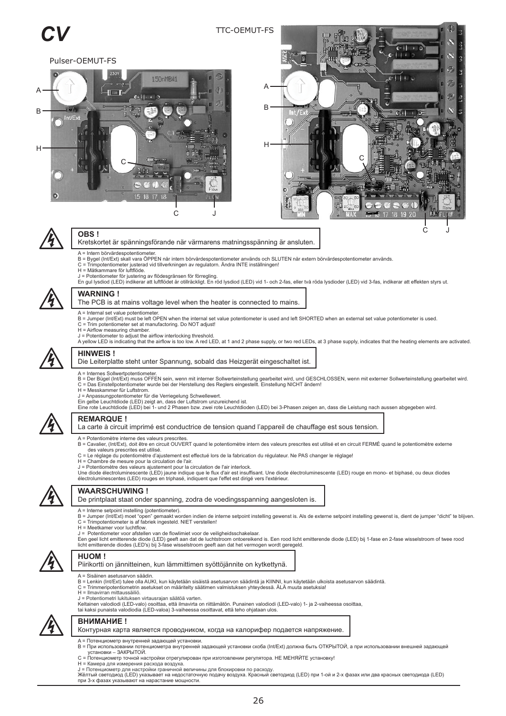#### TTC-OEMUT-FS

Pulser-OEMUT-FS







#### **OBS !**

- Kretskortet är spänningsförande när värmarens matningsspänning är ansluten.
- - A = Intern börvärdespotentiometer.<br>B = Bygel (Int/Ext) skall vara ÖPPEN när intern börvärdespotentiometer används och SLUTEN när extern börvärdespotentiometer används.<br>C = Trimpotentiometer justerad vid tillverkningen av r
- 
- 
- J = Potentiometer för justering av flödesgränsen för förregling.<br>En gul lysdiod (LED) indikerar att luftflödet är otillräckligt. En röd lysdiod (LED) vid 1- och 2-fas, eller två röda lysdioder (LED) vid 3-fas, indikerar at



### **WARNING !**

#### The PCB is at mains voltage level when the heater is connected to mains.

- A = Internal set value potentiometer.
- B = Jumper (Int/Ext) must be left OPEN when the internal set value potentiometer is used and left SHORTED when an external set value potentiometer is used.<br>C = Trim potentiometer set at manufactoring. Do NOT adjust!
- 
- H = Airflow measuring chamber.
- 
- J = Potentiometer to adjust the airflow interlocking threshold.<br>A yellow LED is indicating that the airflow is too low. A red LED, at 1 and 2 phase supply, or two red LEDs, at 3 phase supply, indicates that the heating ele



#### **HINWEIS !** Die Leiterplatte steht unter Spannung, sobald das Heizgerät eingeschaltet ist.

- A = Internes Sollwertpotentiometer.
- B = Der Bügel (Int/Ext) muss OFFEN sein, wenn mit interner Sollwerteinstellung gearbeitet wird, und GESCHLOSSEN, wenn mit externer Sollwerteinstellung gearbeitet wird.<br>C = Das Einstellpotentiometer wurde bei der Herstellu
- H = Messkammer für Luftstrom.
- J = Anpassungpotentiometer für die Verriegelung Schwellewert.
- Ein gelbe Leuchtdiode (LED) zeigt an, dass der Luftstrom unzureichend ist.<br>Eine rote Leuchtdiode (LED) bei 1- und 2 Phasen bzw. zwei rote Leuchtdioden (LED) bei 3-Phasen zeigen an, dass die Leistung nach aussen abgegeben w



#### **REMARQUE !**

#### La carte à circuit imprimé est conductrice de tension quand l'appareil de chauffage est sous tension.

- 
- A = Potentiomètre interne des valeurs prescrites.<br>B = Cavalier, (Int/Ext), doit être en circuit OUVERT quand le potentiomètre intern des valeurs prescrites est utilisé et en circuit FERMÉ quand le potentiomètre externe
- 
- . C = Le réglage du potentiomètre d'ajustement est effectué lors de la fabrication du régulateur. Ne PAS changer le réglage! des valeurs prescrites est utilisé
- H = Chambre de mesure pour la circulation de l'air.
- J = Potentiomètre des valeurs ajustement pour la circulation de l'air interlock.<br>Une diode électroluminescente (LED) jaune indique que le flux d'air est insuffisant. Une diode électroluminescente (LED) rouge en mono- et bi



#### **WAARSCHUWING !**

De printplaat staat onder spanning, zodra de voedingsspanning aangesloten is.

- A = Interne setpoint instelling (potentiometer).
- B = Jumper (Int/Ext) moet "open" gemaakt worden indien de interne setpoint instelling gewenst is. Als de externe setpoint instelling gewenst is, dient de jumper "dicht" te blijven.<br>C = Trimpotentiometer is af fabriek inges
- 
- . J = Potentiometer voor afstellen van de flowlimiet voor de veiligheidsschakelaar
- Een geel licht emitterende diode (LED) geeft aan dat de luchtstroom ontoereikend is. Een rood licht emitterende diode (LED) bij 1-fase en 2-fase wisselstroom of twee rood<br>licht emitterende diodes (LED's) bij 3-fase wissels



#### **HUOM !**

Piirikortti on jännitteinen, kun lämmittimen syöttöjännite on kytkettynä.

- A = Sisäinen asetusarvon säädin.
- B = Lenkin (Int/Ext) tulee olla AUKI, kun käytetään sisäistä asetusarvon säädintä ja KIINNI, kun käytetään ulkoista asetusarvon säädintä.<br>C = Trimmeripotentiometrin asetukset on määritelty säätimen valmistuksen yhteydessä.
- 
- H = Ilmavirran mittaussäiliö.
- J = Potentiometri lukituksen virtausrajan säätöä varten.
- Keltainen valodiodi (LED-valo) osoittaa, että ilmavirta on riittämätön. Punainen valodiodi (LED-valo) 1- ja 2-vaiheessa osoittaa, tai kaksi punaista valodiodia (LED-valoa) 3-vaiheessa osoittavat, että teho ohjataan ulos.



- **ВНИМАНИЕ !** Контурная карта является проводником, когда на калорифер подается напряжение.
- 
- A = Потенциометр внутренней задающей установки.
- B = При использовании потенциометра внутренней задающей установки скоба (Int/Ext) должна быть ОТКРЫТОЙ, а при использовании внешней задающей установки – ЗАКРЫТОЙ. C = Потенциометр точной настройки отрегулирован при изготовлении регулятора. НЕ МЕНЯЙТЕ установку!
- 
- H = Камера для измерения расхода воздуха.
- 
- J = Потенциометр для настройки граничной величины для блокировки по расходу.<br>Жёлтый светодиод (LED) указывает на недостаточную подачу воздуха. Красный светодиод (LED) при 1-ой и 2-х фазах или два красных светодиода (LED) при 3-х фазах указывают на нарастание мощности.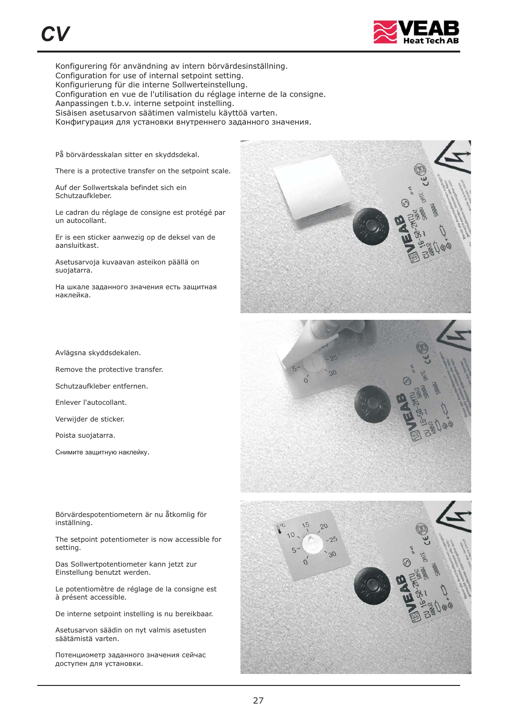

Konfigurering för användning av intern börvärdesinställning. Configuration for use of internal setpoint setting. Konfigurierung für die interne Sollwerteinstellung. Configuration en vue de l'utilisation du réglage interne de la consigne. Aanpassingen t.b.v. interne setpoint instelling. Sisäisen asetusarvon säätimen valmistelu käyttöä varten. Конфигурация для установки внутреннего заданного значения.

På börvärdesskalan sitter en skyddsdekal.

There is a protective transfer on the setpoint scale.

Auf der Sollwertskala befindet sich ein Schutzaufkleber.

Le cadran du réglage de consigne est protégé par un autocollant.

Er is een sticker aanwezig op de deksel van de aansluitkast.

Asetusarvoja kuvaavan asteikon päällä on suojatarra.

. наклейка На шкале заданного значения есть защитная

Avlägsna skyddsdekalen.

Remove the protective transfer.

Schutzaufkleber entfernen.

Enlever l'autocollant.

Verwijder de sticker.

Poista suojatarra.

Снимите защитную наклейку.

Börvärdespotentiometern är nu åtkomlig för inställning.

The setpoint potentiometer is now accessible for setting.

Das Sollwertpotentiometer kann jetzt zur Einstellung benutzt werden.

Le potentiomètre de réglage de la consigne est à présent accessible.

De interne setpoint instelling is nu bereikbaar.

Asetusarvon säädin on nyt valmis asetusten säätämistä varten.

. доступен для установки Потенциометр заданного значения сейчас





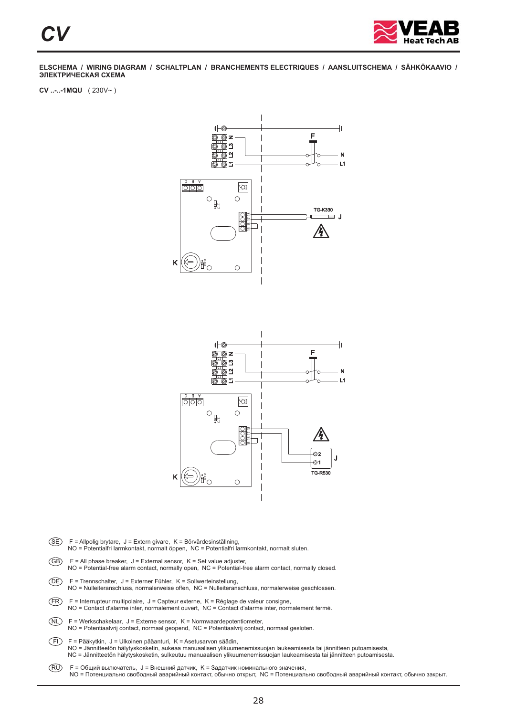

**CV ..-..-1MQU** ( 230V~ )





- SE F = Allpolig brytare, J = Extern givare, K = Börvärdesinställning, NO = Potentialfri larmkontakt, normalt öppen, NC = Potentialfri larmkontakt, normalt sluten.  $\overline{GB}$  F = All phase breaker, J = External sensor, K = Set value adjuster,
- NO = Potential-free alarm contact, normally open, NC = Potential-free alarm contact, normally closed.
- DE F = Trennschalter, J = Externer Fühler, K = Sollwerteinstellung, NO = Nulleiteranschluss, normalerweise offen, NC = Nulleiteranschluss, normalerweise geschlossen.
- $(FR)$  F = Interrupteur multipolaire, J = Capteur externe, K = Réglage de valeur consigne, NO = Contact d'alarme inter, normalement ouvert, NC = Contact d'alarme inter, normalement fermé.
- $(NL)$  F = Werkschakelaar, J = Externe sensor, K = Normwaardepotentiometer, NO = Potentiaalvrij contact, normaal geopend, NC = Potentiaalvrij contact, normaal gesloten.
- FI F = Pääkytkin, J = Ulkoinen pääanturi, K = Asetusarvon säädin, NO = Jännitteetön hälytyskosketin, aukeaa manuaalisen ylikuumenemissuojan laukeamisesta tai jännitteen putoamisesta,<br>NC = Jännitteetön hälytyskosketin, sulkeutuu manuaalisen ylikuumenemissuojan laukeamisesta tai jännitteen
- RU NO = Потенциально свободный аварийный контакт, обычно открыт, NC = Потенциально свободный аварийный контакт, обычно закрыт. F = Общий вылючатель, J = Внешний датчик, K = Задатчик номинального значения,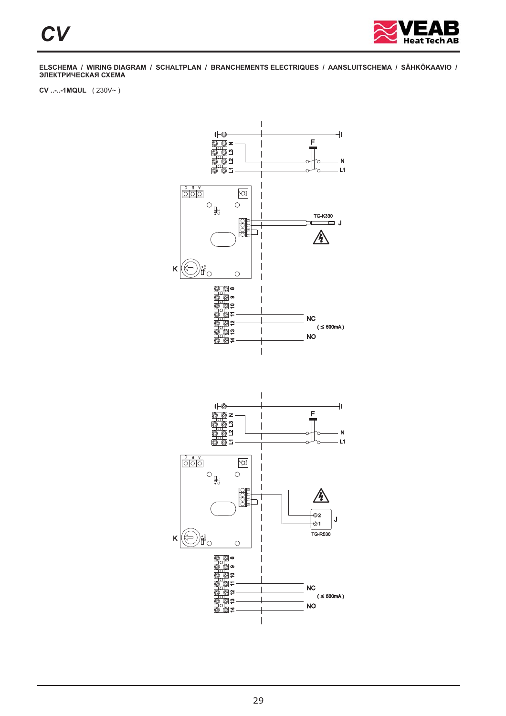

**CV ..-..-1MQUL** ( 230V~ )

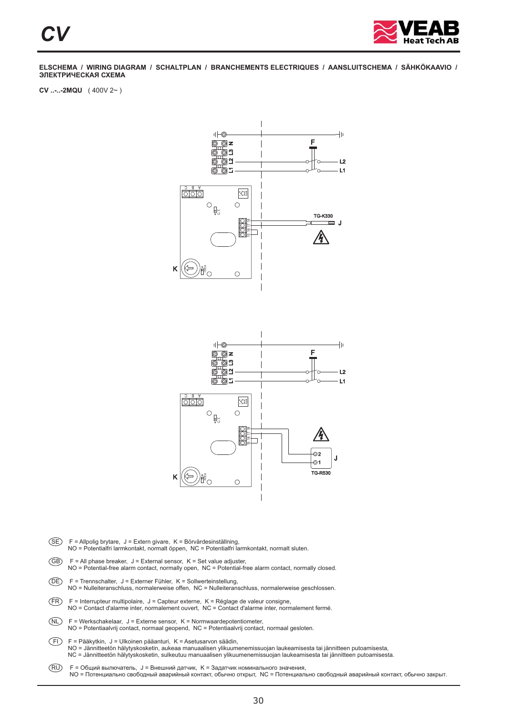

**CV ..-..-2MQU** ( 400V 2~ )





- SE F = Allpolig brytare, J = Extern givare, K = Börvärdesinställning, NO = Potentialfri larmkontakt, normalt öppen, NC = Potentialfri larmkontakt, normalt sluten.
- $\overline{GB}$  F = All phase breaker, J = External sensor, K = Set value adjuster, NO = Potential-free alarm contact, normally open, NC = Potential-free alarm contact, normally closed.
- DE F = Trennschalter, J = Externer Fühler, K = Sollwerteinstellung, NO = Nulleiteranschluss, normalerweise offen, NC = Nulleiteranschluss, normalerweise geschlossen.
- $(FR)$  F = Interrupteur multipolaire, J = Capteur externe, K = Réglage de valeur consigne, NO = Contact d'alarme inter, normalement ouvert, NC = Contact d'alarme inter, normalement fermé.
- $(NL)$  F = Werkschakelaar, J = Externe sensor, K = Normwaardepotentiometer, NO = Potentiaalvrij contact, normaal geopend, NC = Potentiaalvrij contact, normaal gesloten.
- FI F = Pääkytkin, J = Ulkoinen pääanturi, K = Asetusarvon säädin, NO = Jännitteetön hälytyskosketin, aukeaa manuaalisen ylikuumenemissuojan laukeamisesta tai jännitteen putoamisesta,<br>NC = Jännitteetön hälytyskosketin, sulkeutuu manuaalisen ylikuumenemissuojan laukeamisesta tai jännitteen
- RU NO = Потенциально свободный аварийный контакт, обычно открыт, NC = Потенциально свободный аварийный контакт, обычно закрыт. F = Общий вылючатель, J = Внешний датчик, K = Задатчик номинального значения,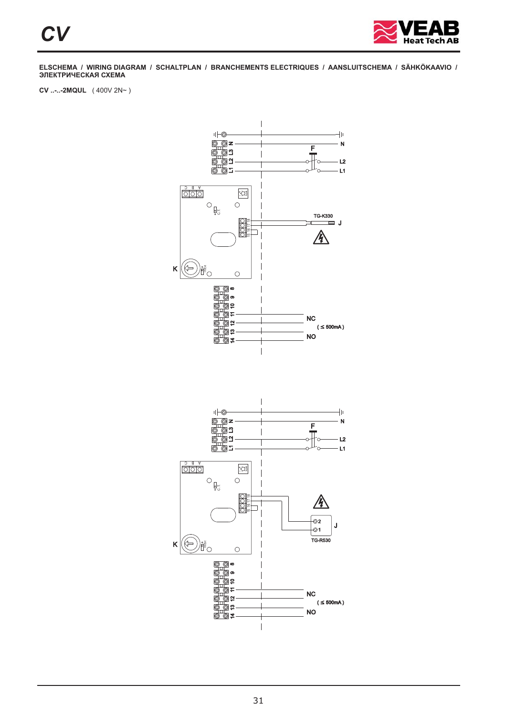

**CV ..-..-2MQUL** ( 400V 2N~ )

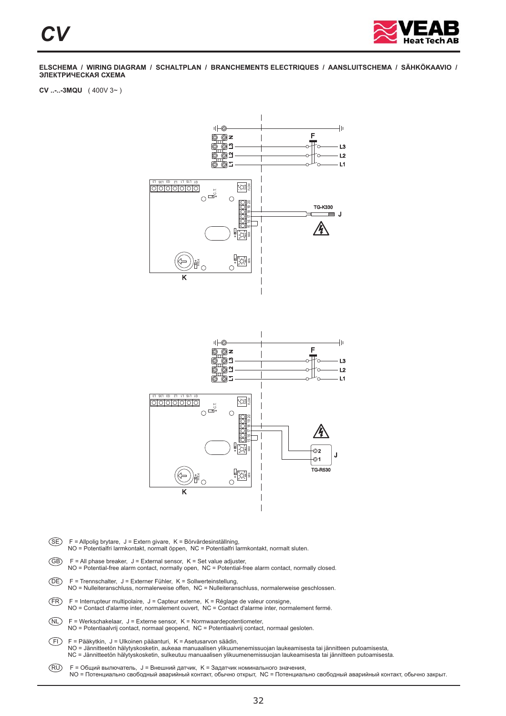

**CV ..-..-3MQU** ( 400V 3~ )



SE F = Allpolig brytare, J = Extern givare, K = Börvärdesinställning, NO = Potentialfri larmkontakt, normalt öppen, NC = Potentialfri larmkontakt, normalt sluten.  $\overline{GB}$  F = All phase breaker, J = External sensor, K = Set value adjuster,

K

- NO = Potential-free alarm contact, normally open, NC = Potential-free alarm contact, normally closed.
- DE F = Trennschalter, J = Externer Fühler, K = Sollwerteinstellung,
- NO = Nulleiteranschluss, normalerweise offen, NC = Nulleiteranschluss, normalerweise geschlossen.
- $(FR)$  F = Interrupteur multipolaire, J = Capteur externe, K = Réglage de valeur consigne, NO = Contact d'alarme inter, normalement ouvert, NC = Contact d'alarme inter, normalement fermé.
- $(NL)$  F = Werkschakelaar, J = Externe sensor, K = Normwaardepotentiometer, NO = Potentiaalvrij contact, normaal geopend, NC = Potentiaalvrij contact, normaal gesloten.
- FI F = Pääkytkin, J = Ulkoinen pääanturi, K = Asetusarvon säädin, NO = Jännitteetön hälytyskosketin, aukeaa manuaalisen ylikuumenemissuojan laukeamisesta tai jännitteen putoamisesta,<br>NC = Jännitteetön hälytyskosketin, sulkeutuu manuaalisen ylikuumenemissuojan laukeamisesta tai jännitteen
- RU NO = Потенциально свободный аварийный контакт, обычно открыт, NC = Потенциально свободный аварийный контакт, обычно закрыт. F = Общий вылючатель, J = Внешний датчик, K = Задатчик номинального значения,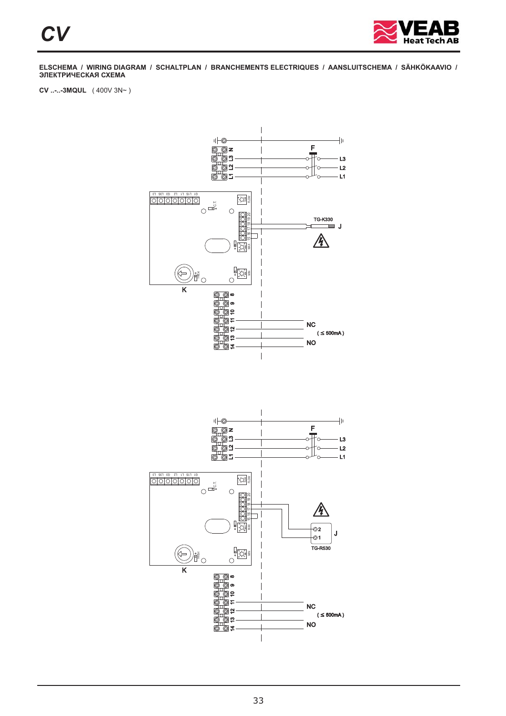

**CV ..-..-3MQUL** ( 400V 3N~ )

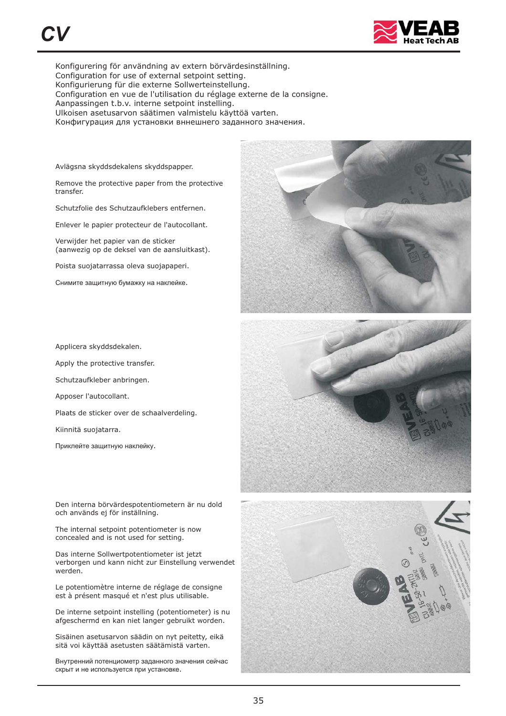

Konfigurering för användning av extern börvärdesinställning. Configuration for use of external setpoint setting. Konfigurierung für die externe Sollwerteinstellung. Configuration en vue de l'utilisation du réglage externe de la consigne. Aanpassingen t.b.v. interne setpoint instelling. Ulkoisen asetusarvon säätimen valmistelu käyttöä varten. Конфигурация для установки вннешнего заданного значения.

Avlägsna skyddsdekalens skyddspapper.

Remove the protective paper from the protective transfer.

Schutzfolie des Schutzaufklebers entfernen.

Enlever le papier protecteur de l'autocollant.

Verwijder het papier van de sticker (aanwezig op de deksel van de aansluitkast).

Poista suojatarrassa oleva suojapaperi.

Снимите защитную бумажку на наклейке.

Applicera skyddsdekalen.

Apply the protective transfer.

Schutzaufkleber anbringen.

Apposer l'autocollant.

Plaats de sticker over de schaalverdeling.

Kiinnitä suojatarra.

Приклейте защитную наклейку.

Den interna börvärdespotentiometern är nu dold och används ej för inställning.

The internal setpoint potentiometer is now concealed and is not used for setting.

Das interne Sollwertpotentiometer ist jetzt verborgen und kann nicht zur Einstellung verwendet werden.

Le potentiomètre interne de réglage de consigne est à présent masqué et n'est plus utilisable.

De interne setpoint instelling (potentiometer) is nu afgeschermd en kan niet langer gebruikt worden.

Sisäinen asetusarvon säädin on nyt peitetty, eikä sitä voi käyttää asetusten säätämistä varten.

. скрыт и не используется при установке Внутренний потенциометр заданного значения сейчас

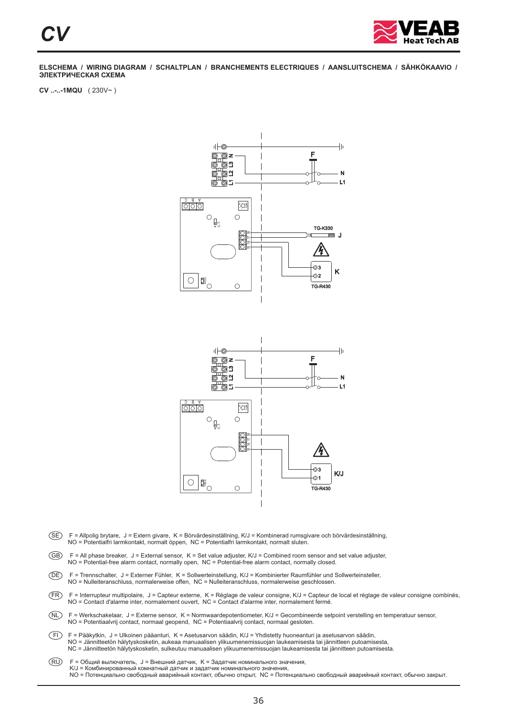

**CV ..-..-1MQU** ( 230V~ )



- SE F = Allpolig brytare, J = Extern givare, K = Börvärdesinställning, K/J = Kombinerad rumsgivare och börvärdesinställning, NO = Potentialfri larmkontakt, normalt öppen, NC = Potentialfri larmkontakt, normalt sluten.
- GB F = All phase breaker, J = External sensor, K = Set value adjuster, K/J = Combined room sensor and set value adjuster, NO = Potential-free alarm contact, normally open, NC = Potential-free alarm contact, normally closed.
- DE F = Trennschalter, J = Externer Fühler, K = Sollwerteinstellung, K/J = Kombinierter Raumfühler und Sollwerteinsteller, NO = Nulleiteranschluss, normalerweise offen, NC = Nulleiteranschluss, normalerweise geschlossen.
- FR F = Interrupteur multipolaire, J = Capteur externe, K = Réglage de valeur consigne, K/J = Capteur de local et réglage de valeur consigne combinés, NO = Contact d'alarme inter, normalement ouvert, NC = Contact d'alarme inter, normalement fermé.
- NL F = Werkschakelaar, J = Externe sensor, K = Normwaardepotentiometer, K/J = Gecombineerde setpoint verstelling en temperatuur sensor, NO = Potentiaalvrij contact, normaal geopend, NC = Potentiaalvrij contact, normaal gesloten.
- FI F = Pääkytkin, J = Ulkoinen pääanturi, K = Asetusarvon säädin, K/J = Yhdistetty huoneanturi ja asetusarvon säädin, NO = Jännitteetön hälytyskosketin, aukeaa manuaalisen ylikuumenemissuojan laukeamisesta tai jännitteen putoamisesta, NC = Jännitteetön hälytyskosketin, sulkeutuu manuaalisen ylikuumenemissuojan laukeamisesta tai jännitteen putoamisesta.
- RU NO = Потенциально свободный аварийный контакт, обычно открыт, NC = Потенциально свободный аварийный контакт, обычно закрыт. F = Общий вылючатель, J = Внешний датчик, K = Задатчик номинального значения, K/J = Комбинированный комнатный датчик и задатчик номинального значения,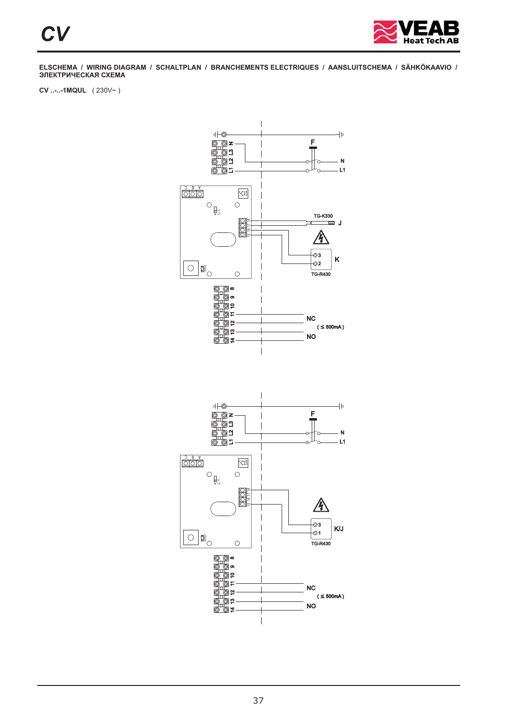

**CV ..-..-1MQUL** ( 230V~ )

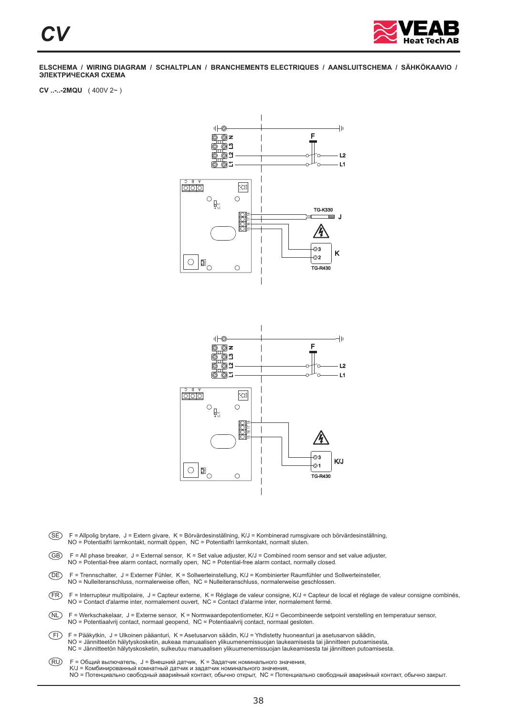

**CV ..-..-2MQU** ( 400V 2~ )



- SE F = Allpolig brytare, J = Extern givare, K = Börvärdesinställning, K/J = Kombinerad rumsgivare och börvärdesinställning, NO = Potentialfri larmkontakt, normalt öppen, NC = Potentialfri larmkontakt, normalt sluten.
- GB F = All phase breaker, J = External sensor, K = Set value adjuster, K/J = Combined room sensor and set value adjuster, NO = Potential-free alarm contact, normally open, NC = Potential-free alarm contact, normally closed.
- DE F = Trennschalter, J = Externer Fühler, K = Sollwerteinstellung, K/J = Kombinierter Raumfühler und Sollwerteinsteller, NO = Nulleiteranschluss, normalerweise offen, NC = Nulleiteranschluss, normalerweise geschlossen.
- FR F = Interrupteur multipolaire, J = Capteur externe, K = Réglage de valeur consigne, K/J = Capteur de local et réglage de valeur consigne combinés, NO = Contact d'alarme inter, normalement ouvert, NC = Contact d'alarme inter, normalement fermé.
- NL F = Werkschakelaar, J = Externe sensor, K = Normwaardepotentiometer, K/J = Gecombineerde setpoint verstelling en temperatuur sensor, NO = Potentiaalvrij contact, normaal geopend, NC = Potentiaalvrij contact, normaal gesloten.
- FI F = Pääkytkin, J = Ulkoinen pääanturi, K = Asetusarvon säädin, K/J = Yhdistetty huoneanturi ja asetusarvon säädin, NO = Jännitteetön hälytyskosketin, aukeaa manuaalisen ylikuumenemissuojan laukeamisesta tai jännitteen putoamisesta, NC = Jännitteetön hälytyskosketin, sulkeutuu manuaalisen ylikuumenemissuojan laukeamisesta tai jännitteen putoamisesta.
- RU NO = Потенциально свободный аварийный контакт, обычно открыт, NC = Потенциально свободный аварийный контакт, обычно закрыт. F = Общий вылючатель, J = Внешний датчик, K = Задатчик номинального значения, K/J = Комбинированный комнатный датчик и задатчик номинального значения,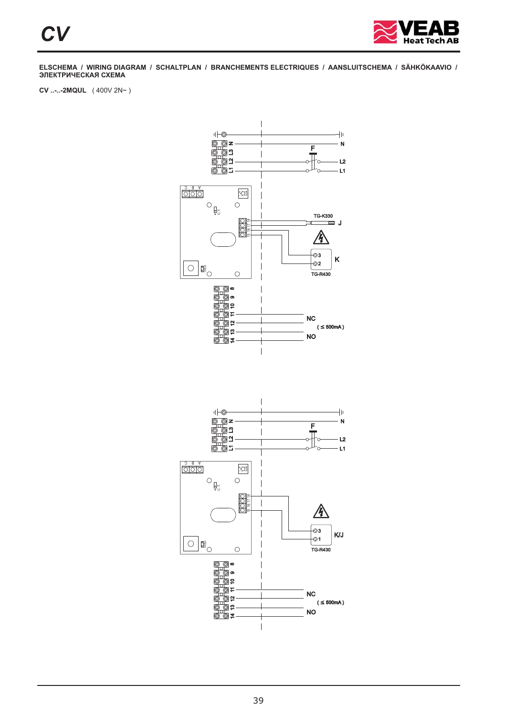

**CV ..-..-2MQUL** ( 400V 2N~ )

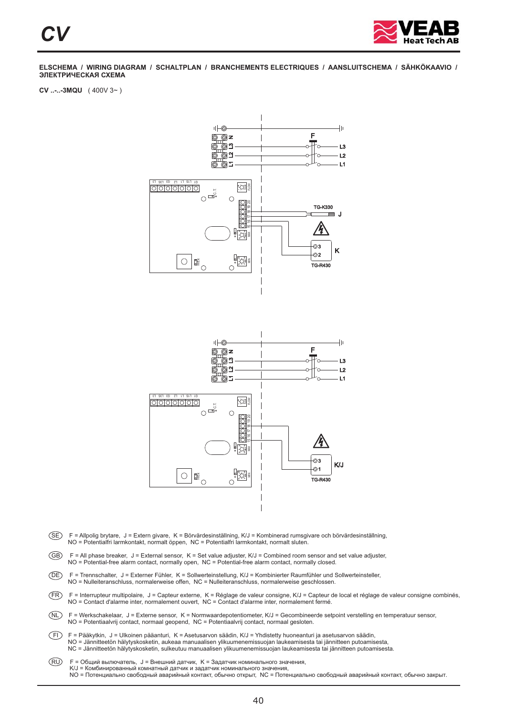

**CV ..-..-3MQU** ( 400V 3~ )



- SE F = Allpolig brytare, J = Extern givare, K = Börvärdesinställning, K/J = Kombinerad rumsgivare och börvärdesinställning, NO = Potentialfri larmkontakt, normalt öppen, NC = Potentialfri larmkontakt, normalt sluten.
- GB F = All phase breaker, J = External sensor, K = Set value adjuster, K/J = Combined room sensor and set value adjuster, NO = Potential-free alarm contact, normally open, NC = Potential-free alarm contact, normally closed.
- DE F = Trennschalter, J = Externer Fühler, K = Sollwerteinstellung, K/J = Kombinierter Raumfühler und Sollwerteinsteller, NO = Nulleiteranschluss, normalerweise offen, NC = Nulleiteranschluss, normalerweise geschlossen.
- FR F = Interrupteur multipolaire, J = Capteur externe, K = Réglage de valeur consigne, K/J = Capteur de local et réglage de valeur consigne combinés, NO = Contact d'alarme inter, normalement ouvert, NC = Contact d'alarme inter, normalement fermé.
- NL F = Werkschakelaar, J = Externe sensor, K = Normwaardepotentiometer, K/J = Gecombineerde setpoint verstelling en temperatuur sensor, NO = Potentiaalvrij contact, normaal geopend, NC = Potentiaalvrij contact, normaal gesloten.
- FI F = Pääkytkin, J = Ulkoinen pääanturi, K = Asetusarvon säädin, K/J = Yhdistetty huoneanturi ja asetusarvon säädin, NO = Jännitteetön hälytyskosketin, aukeaa manuaalisen ylikuumenemissuojan laukeamisesta tai jännitteen putoamisesta, NC = Jännitteetön hälytyskosketin, sulkeutuu manuaalisen ylikuumenemissuojan laukeamisesta tai jännitteen putoamisesta.
- RU NO = Потенциально свободный аварийный контакт, обычно открыт, NC = Потенциально свободный аварийный контакт, обычно закрыт. F = Общий вылючатель, J = Внешний датчик, K = Задатчик номинального значения, K/J = Комбинированный комнатный датчик и задатчик номинального значения,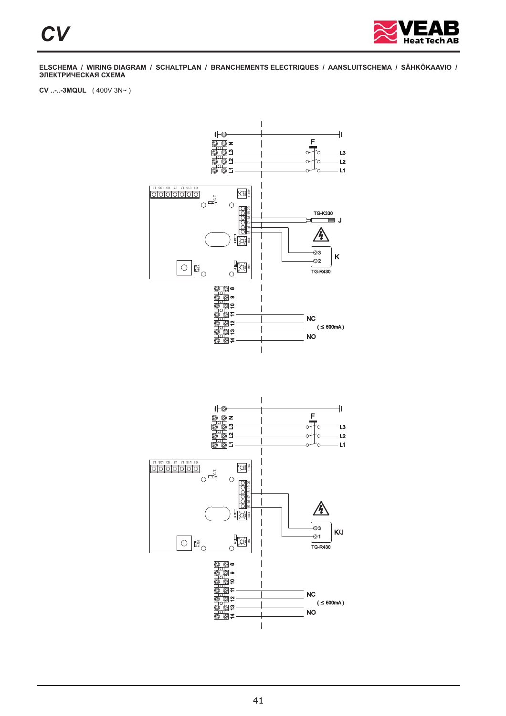

**CV ..-..-3MQUL** ( 400V 3N~ )

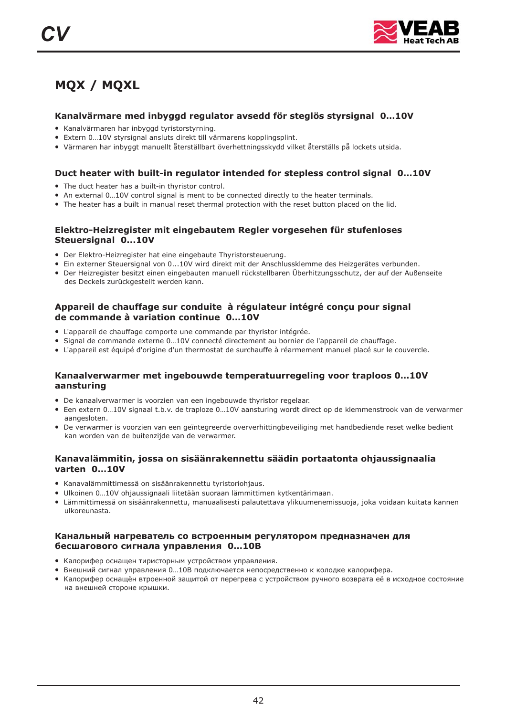## **MQX / MQXL**

#### **Kanalvärmare med inbyggd regulator avsedd för steglös styrsignal 0…10V**

- Kanalvärmaren har inbyggd tyristorstyrning.
- Extern 0…10V styrsignal ansluts direkt till värmarens kopplingsplint.
- Värmaren har inbyggt manuellt återställbart överhettningsskydd vilket återställs på lockets utsida.

#### **Duct heater with built-in regulator intended for stepless control signal 0…10V**

- The duct heater has a built-in thyristor control.
- An external 0...10V control signal is ment to be connected directly to the heater terminals.
- The heater has a built in manual reset thermal protection with the reset button placed on the lid.

#### **Elektro-Heizregister mit eingebautem Regler vorgesehen für stufenloses Steuersignal 0...10V**

- Der Elektro-Heizregister hat eine eingebaute Thyristorsteuerung.
- Ein externer Steuersignal von 0...10V wird direkt mit der Anschlussklemme des Heizgerätes verbunden.
- Einen Eiten Ersteitengen von einer Einen am an die nur der Ausamassinatione des Ausgenetes versunden.<br>● Der Heizregister besitzt einen eingebauten manuell rückstellbaren Überhitzungsschutz, der auf der Außenseite des Deckels zurückgestellt werden kann.

#### **Appareil de chauffage sur conduite à régulateur intégré conçu pour signal de commande à variation continue 0…10V**

- L'appareil de chauffage comporte une commande par thyristor intégrée.
- Experience externe 0...10V connecté directement au bornier de l'appareil de chauffage.
- L'appareil est équipé d'origine d'un thermostat de surchauffe à réarmement manuel placé sur le couvercle.

#### **Kanaalverwarmer met ingebouwde temperatuurregeling voor traploos 0…10V aansturing**

- De kanaalverwarmer is voorzien van een ingebouwde thyristor regelaar.
- Een extern 0…10V signaal t.b.v. de traploze 0…10V aansturing wordt direct op de klemmenstrook van de verwarmer aangesloten
- De verwarmer is voorzien van een geïntegreerde oververhittingbeveiliging met handbediende reset welke bedient kan worden van de buitenzijde van de verwarmer.

#### **Kanavalämmitin, jossa on sisäänrakennettu säädin portaatonta ohjaussignaalia varten 0…10V**

- Kanavalämmittimessä on sisäänrakennettu tyristoriohjaus.
- Ulkoinen 0…10V ohjaussignaali liitetään suoraan lämmittimen kytkentärimaan.
- Lämmittimessä on sisäänrakennettu, manuaalisesti palautettava ylikuumenemissuoja, joka voidaan kuitata kannen ulkoreunasta.

#### **Канальный нагреватель со встроенным регулятором предназначен для бесшагового сигнала управления 0…10В**

- . Калорифер оснащен тиристорным устройством управления
- калерифер селащен пиристерный устреповой управлении.<br>• Внешний сигнал управления 0...10В подключается непосредственно к колодке калорифера.
- спошлин сигных управления заществом составляются редования и напедне наперторов.<br>● Калорифер оснащён втроенной защитой от перегрева с устройством ручного возврата её в исходное состояние . на внешней стороне крышки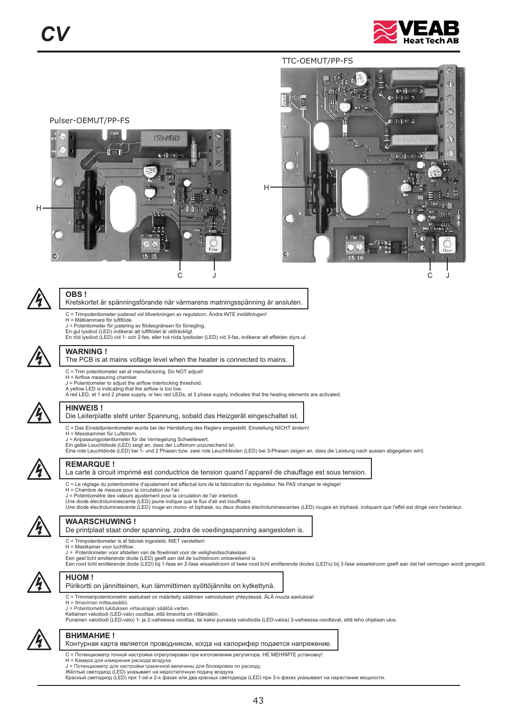

#### TTC-OEMUT/PP-FS









#### **OBS !**

Kretskortet är spänningsförande när värmarens matningsspänning är ansluten.

- C = Trimpotentiometer justerad vid tillverkningen av regulatorn. Ändra INTE inställningen! H = Mätkammare för luftflöde.
	-
- 
- J = Potentiometer för justering av flödesgränsen för förregling.<br>En gul lysdiod (LED) indikerar att luftflödet är otillräckligt.<br>En röd lysdiod (LED) vid 1- och 2-fas, eller två röda lysdioder (LED) vid 3-fas, indikerar at



#### **WARNING !**

#### The PCB is at mains voltage level when the heater is connected to mains.

- 
- C = Trim potentiometer set at manufactoring. Do NOT adjust! H = Airflow measuring chamber.
- J = Potentiometer to adjust the airflow interlocking threshold. A yellow LED is indicating that the airflow is too low.
- A red LED, at 1 and 2 phase supply, or two red LEDs, at 3 phase supply, indicates that the heating elements are activated.



#### **HINWEIS !**

#### Die Leiterplatte steht unter Spannung, sobald das Heizgerät eingeschaltet ist.

- C = Das Einstellpotentiometer wurde bei der Herstellung des Reglers eingestellt. Einstellung NICHT ändern!
- 
- H = Messkammer für Luftstrom. J = Anpassungpotentiometer für die Verriegelung Schwellewert.
- 
- Ein gelbe Leuchtdiode (LED) zeigt an, dass der Luftstrom unzureichend ist.<br>Eine rote Leuchtdiode (LED) bei 1- und 2 Phasen bzw. zwei rote Leuchtdioden (LED) bei 3-Phasen zeigen an, dass die Leistung nach aussen abgegeben w



#### **REMARQUE !**

La carte à circuit imprimé est conductrice de tension quand l'appareil de chauffage est sous tension.

- C = Le réglage du potentiomètre d'ajustement est effectué lors de la fabrication du régulateur. Ne PAS changer le réglage!
- H = Chambre de mesure pour la circulation de l'air.
- J = Potentiomètre des valeurs ajustement pour la circulation de l'air interlock. Une diode électroluminescente (LED) jaune indique que le flux d'air est insuffisant.
- 
- Une diode électroluminescente (LED) rouge en mono- et biphasé, ou deux diodes électroluminescentes (LED) rouges en triphasé, indiquent que l'effet est dirigé vers l'extérieur.



#### **WAARSCHUWING !**

De printplaat staat onder spanning, zodra de voedingsspanning aangesloten is.

- C = Trimpotentiometer is af fabriek ingesteld. NIET verstellen! H = . Meetkamer voor luchtflow
- J = Potentiometer voor afstellen van de flowlimiet voor de veiligheidsschakelaar
- 
- J = Potentiometer voor afstellen van de flowlimiet voor de veiligheidsschakelaar.<br>Een geel licht emitterende diode (LED) geeft aan dat de luchtstroom ontoereikend is.<br>Een rood licht emitterende diode (LED) bij 1-fase en 2



#### **HUOM !**

- Piirikortti on jännitteinen, kun lämmittimen syöttöjännite on kytkettynä.
- C = Trimmeripotentiometrin asetukset on määritelty säätimen valmistuksen yhteydessä. ÄLÄ muuta asetuksia!
- H = Ilmavirran mittaussäiliö.
- J = Potentiometri lukituksen virtausrajan säätöä varten. Keltainen valodiodi (LED-valo) osoittaa, että ilmavirta on riittämätön.
- Punainen valodiodi (LED-valo) 1- ja 2-vaiheessa osoittaa, tai kaksi punaista valodiodia (LED-valoa) 3-vaiheessa osoittavat, että teho ohjataan ulos.



#### **ВНИМАНИЕ !**

Контурная карта является проводником, когда на калорифер подается напряжение.

- C = Потенциометр точной настройки отрегулирован при изготовлении регулятора. НЕ МЕНЯЙТЕ установку!
- H = Камера для измерения расхода воздуха.
- J = Потенциометр для настройки граничной величины для блокировки по расходу.
- Жёлтый светодиод (LED) указывает на недостаточную подачу воздуха.<br>Красный светодиод (LED) при 1-ой и 2-х фазах или два красных светодиода (LED) при 3-х фазах указывают на нарастание мощности.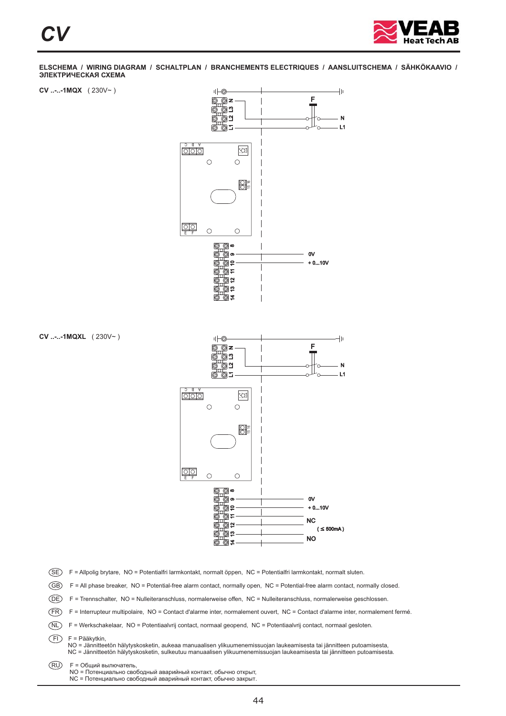





**CV ..-..-1MQXL** ( 230V~ )

SE) F = Allpolig brytare, NO = Potentialfri larmkontakt, normalt öppen, NC = Potentialfri larmkontakt, normalt sluten.

GB) F = All phase breaker, NO = Potential-free alarm contact, normally open, NC = Potential-free alarm contact, normally closed.

⊚ສ ′© ≠

DE) F = Trennschalter, NO = Nulleiteranschluss, normalerweise offen, NC = Nulleiteranschluss, normalerweise geschlossen.

FR) F = Interrupteur multipolaire, NO = Contact d'alarme inter, normalement ouvert, NC = Contact d'alarme inter, normalement fermé.

NL F = Werkschakelaar, NO = Potentiaalvrij contact, normaal geopend, NC = Potentiaalvrij contact, normaal gesloten.

FI F = Pääkytkin,

NO = Jännitteetön hälytyskosketin, aukeaa manuaalisen ylikuumenemissuojan laukeamisesta tai jännitteen putoamisesta,<br>NC = Jännitteetön hälytyskosketin, sulkeutuu manuaalisen ylikuumenemissuojan laukeamisesta tai jännitteen

RU F = Общий вылючатель,

NC = Потенциально свободный аварийный контакт, обычно закрыт.

NO

NO = Потенциально свободный аварийный контакт, обычно открыт,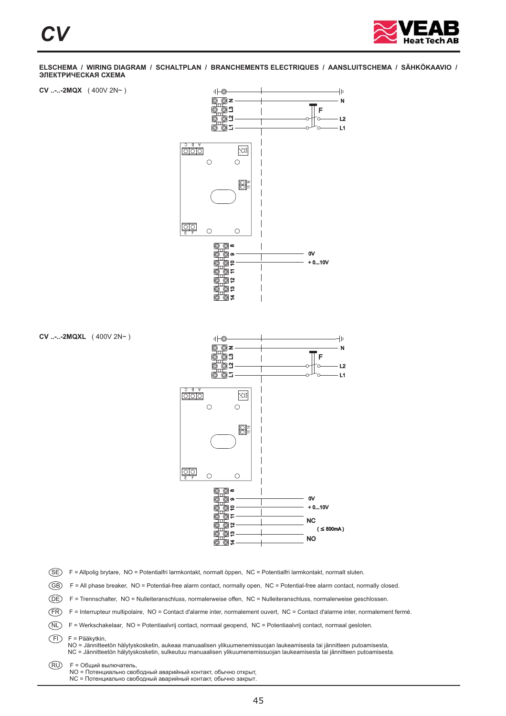







**CV ..-..-2MQXL** ( 400V 2N~ )

SE) F = Allpolig brytare, NO = Potentialfri larmkontakt, normalt öppen, NC = Potentialfri larmkontakt, normalt sluten.

GB) F = All phase breaker, NO = Potential-free alarm contact, normally open, NC = Potential-free alarm contact, normally closed.

DE) F = Trennschalter, NO = Nulleiteranschluss, normalerweise offen, NC = Nulleiteranschluss, normalerweise geschlossen.

FR) F = Interrupteur multipolaire, NO = Contact d'alarme inter, normalement ouvert, NC = Contact d'alarme inter, normalement fermé.

NL F = Werkschakelaar, NO = Potentiaalvrij contact, normaal geopend, NC = Potentiaalvrij contact, normaal gesloten.

FI F = Pääkytkin,

NO = Jännitteetön hälytyskosketin, aukeaa manuaalisen ylikuumenemissuojan laukeamisesta tai jännitteen putoamisesta,<br>NC = Jännitteetön hälytyskosketin, sulkeutuu manuaalisen ylikuumenemissuojan laukeamisesta tai jännitteen

RU F = Общий вылючатель,

NO = Потенциально свободный аварийный контакт, обычно открыт,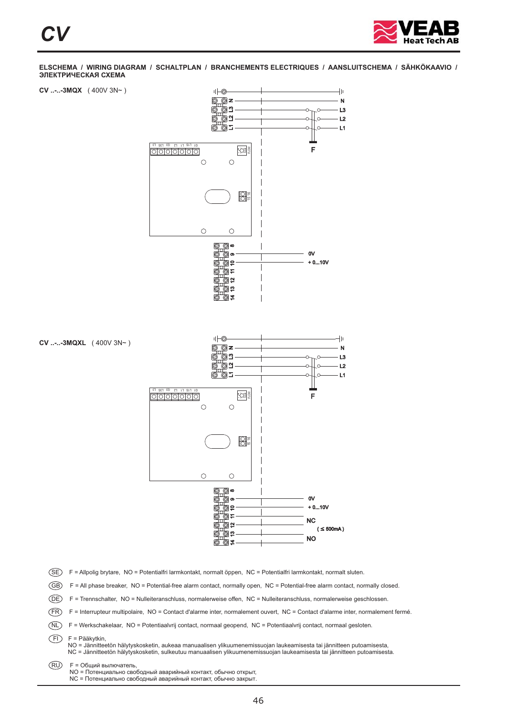



DE) F = Trennschalter, NO = Nulleiteranschluss, normalerweise offen, NC = Nulleiteranschluss, normalerweise geschlossen.

FR) F = Interrupteur multipolaire, NO = Contact d'alarme inter, normalement ouvert, NC = Contact d'alarme inter, normalement fermé.

NL F = Werkschakelaar, NO = Potentiaalvrij contact, normaal geopend, NC = Potentiaalvrij contact, normaal gesloten.

FI F = Pääkytkin,

NO = Jännitteetön hälytyskosketin, aukeaa manuaalisen ylikuumenemissuojan laukeamisesta tai jännitteen putoamisesta,<br>NC = Jännitteetön hälytyskosketin, sulkeutuu manuaalisen ylikuumenemissuojan laukeamisesta tai jännitteen

RU F = Общий вылючатель,

NO = Потенциально свободный аварийный контакт, обычно открыт,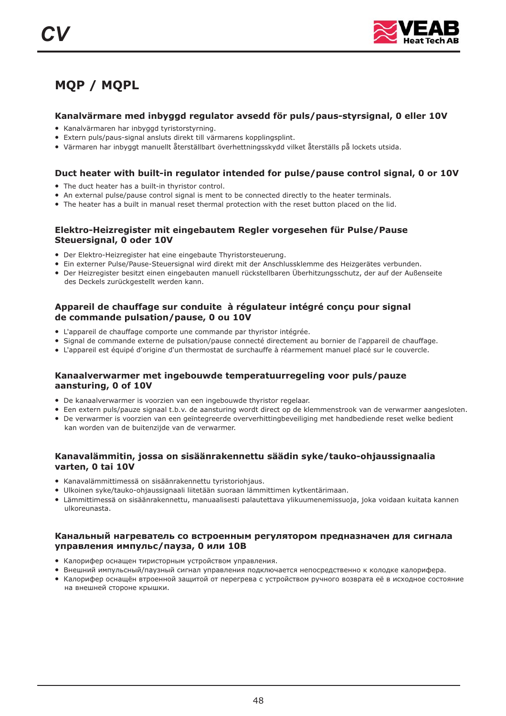

## **MQP / MQPL**

#### **Kanalvärmare med inbyggd regulator avsedd för puls/paus-styrsignal, 0 eller 10V**

- Kanalvärmaren har inbyggd tyristorstyrning.
- Extern puls/paus-signal ansluts direkt till värmarens kopplingsplint.
- Värmaren har inbyggt manuellt återställbart överhettningsskydd vilket återställs på lockets utsida.

#### **Duct heater with built-in regulator intended for pulse/pause control signal, 0 or 10V**

- The duct heater has a built-in thyristor control.
- An external pulse/pause control signal is ment to be connected directly to the heater terminals.
- The heater has a built in manual reset thermal protection with the reset button placed on the lid.

#### **Elektro-Heizregister mit eingebautem Regler vorgesehen für Pulse/Pause Steuersignal, 0 oder 10V**

- Der Elektro-Heizregister hat eine eingebaute Thyristorsteuerung.
- Ein externer Pulse/Pause-Steuersignal wird direkt mit der Anschlussklemme des Heizgerätes verbunden.
- Enternen mestyl des Steuenstgammannen ein auf der Austmessmehmer des Aufgebetes Tersammen.<br>● Der Heizregister besitzt einen eingebauten manuell rückstellbaren Überhitzungsschutz, der auf der Außenseite des Deckels zurückgestellt werden kann.

#### **Appareil de chauffage sur conduite à régulateur intégré conçu pour signal de commande pulsation/pause, 0 ou 10V**

- L'appareil de chauffage comporte une commande par thyristor intégrée.
- Experience de commande externe de pulsation/pause connecté directement au bornier de l'appareil de chauffage.
- L'appareil est équipé d'origine d'un thermostat de surchauffe à réarmement manuel placé sur le couvercle.

#### **Kanaalverwarmer met ingebouwde temperatuurregeling voor puls/pauze aansturing, 0 of 10V**

- De kanaalverwarmer is voorzien van een ingebouwde thyristor regelaar.
- Een extern puls/pauze signaal t.b.v. de aansturing wordt direct op de klemmenstrook van de verwarmer aangesloten.
- De verwarmer is voorzien van een geïntegreerde oververhittingbeveiliging met handbediende reset welke bedient kan worden van de buitenzijde van de verwarmer.

#### **Kanavalämmitin, jossa on sisäänrakennettu säädin syke/tauko-ohjaussignaalia varten, 0 tai 10V**

- Kanavalämmittimessä on sisäänrakennettu tyristoriohjaus.
- Ulkoinen syke/tauko-ohjaussignaali liitetään suoraan lämmittimen kytkentärimaan.
- Lämmittimessä on sisäänrakennettu, manuaalisesti palautettava ylikuumenemissuoja, joka voidaan kuitata kannen ulkoreunasta.

#### **Канальный нагреватель со встроенным регулятором предназначен для сигнала управления импульс/пауза, 0 или 10В**

- . Калорифер оснащен тиристорным устройством управления
- калерифер велащен пиристерный устрепетвой управлении.<br>● Внешний импульсный/паузный сигнал управления подключается непосредственно к колодке калорифера.
- спошлиниминуванный, научный защитой от перегрева с устройством ручного возврата её в исходное состояние<br>● Калорифер оснащён втроенной защитой от перегрева с устройством ручного возврата её в исходное состояние . на внешней стороне крышки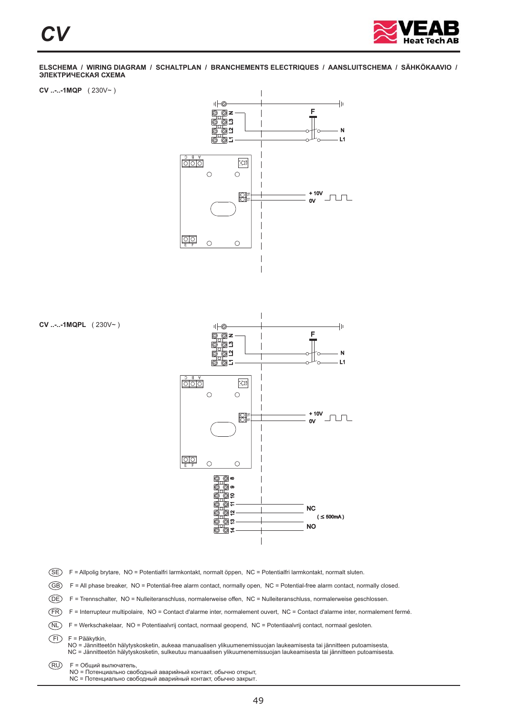

**CV ..-..-1MQP** ( 230V~ )



**CV ..-..-1MQPL** ( 230V~ )



SE) F = Allpolig brytare, NO = Potentialfri larmkontakt, normalt öppen, NC = Potentialfri larmkontakt, normalt sluten.

GB) F = All phase breaker, NO = Potential-free alarm contact, normally open, NC = Potential-free alarm contact, normally closed.

DE) F = Trennschalter, NO = Nulleiteranschluss, normalerweise offen, NC = Nulleiteranschluss, normalerweise geschlossen.

FR) F = Interrupteur multipolaire, NO = Contact d'alarme inter, normalement ouvert, NC = Contact d'alarme inter, normalement fermé.

NL F = Werkschakelaar, NO = Potentiaalvrij contact, normaal geopend, NC = Potentiaalvrij contact, normaal gesloten.

FI F = Pääkytkin,

NO = Jännitteetön hälytyskosketin, aukeaa manuaalisen ylikuumenemissuojan laukeamisesta tai jännitteen putoamisesta,<br>NC = Jännitteetön hälytyskosketin, sulkeutuu manuaalisen ylikuumenemissuojan laukeamisesta tai jännitteen

RU F = Общий вылючатель,

NO = Потенциально свободный аварийный контакт, обычно открыт,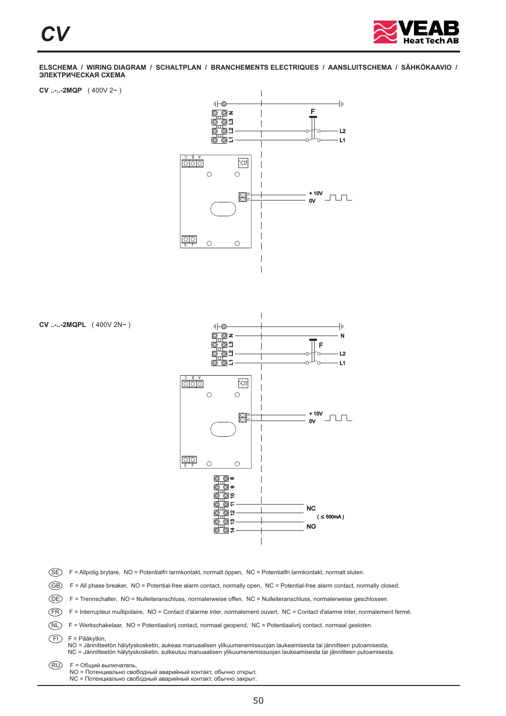

**CV ..-..-2MQP** ( 400V 2~ )



**CV ..-..-2MQPL** ( 400V 2N~ )



SE) F = Allpolig brytare, NO = Potentialfri larmkontakt, normalt öppen, NC = Potentialfri larmkontakt, normalt sluten.

GB) F = All phase breaker, NO = Potential-free alarm contact, normally open, NC = Potential-free alarm contact, normally closed.

DE) F = Trennschalter, NO = Nulleiteranschluss, normalerweise offen, NC = Nulleiteranschluss, normalerweise geschlossen.

FR) F = Interrupteur multipolaire, NO = Contact d'alarme inter, normalement ouvert, NC = Contact d'alarme inter, normalement fermé.

NL F = Werkschakelaar, NO = Potentiaalvrij contact, normaal geopend, NC = Potentiaalvrij contact, normaal gesloten.

FI F = Pääkytkin,

NO = Jännitteetön hälytyskosketin, aukeaa manuaalisen ylikuumenemissuojan laukeamisesta tai jännitteen putoamisesta,<br>NC = Jännitteetön hälytyskosketin, sulkeutuu manuaalisen ylikuumenemissuojan laukeamisesta tai jännitteen

RU F = Общий вылючатель,

NO = Потенциально свободный аварийный контакт, обычно открыт,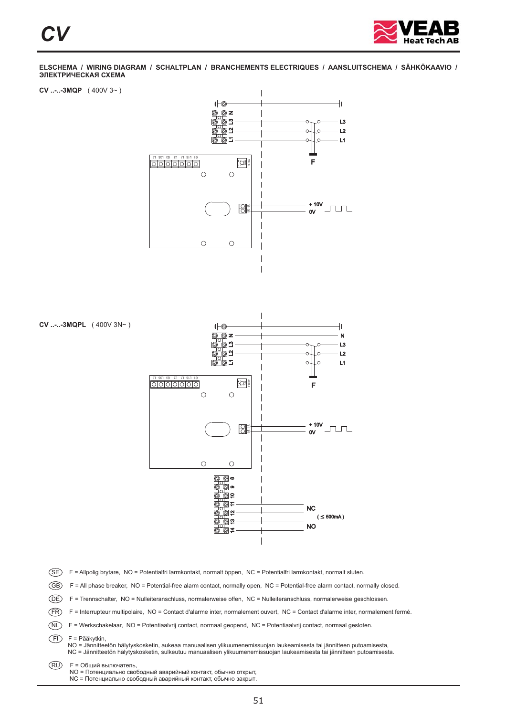

**CV ..-..-3MQP** ( 400V 3~ )





FI F = Pääkytkin,

NO = Jännitteetön hälytyskosketin, aukeaa manuaalisen ylikuumenemissuojan laukeamisesta tai jännitteen putoamisesta,<br>NC = Jännitteetön hälytyskosketin, sulkeutuu manuaalisen ylikuumenemissuojan laukeamisesta tai jännitteen

RU F = Общий вылючатель,

NO = Потенциально свободный аварийный контакт, обычно открыт,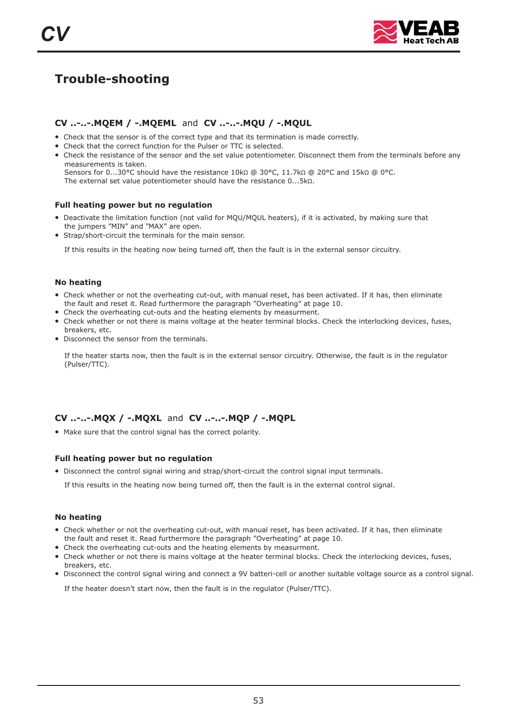

## **Trouble-shooting**

#### **CV ..-..-.MQEM / -.MQEML CV ..-..-.MQU / -.MQUL** and

- Check that the sensor is of the correct type and that its termination is made correctly.
- Check that the correct function for the Pulser or TTC is selected.
- Check the resistance of the sensor and the set value potentiometer. Disconnect them from the terminals before any measurements is taken. Sensors for  $0...30$ °C should have the resistance  $10k\Omega \ @.30$ °C,  $11.7k\Omega \ @.20$ °C and  $15k\Omega \ @.0$ °C. The external set value potentiometer should have the resistance  $0...5k\Omega$ .

#### **Full heating power but no regulation**

- Deactivate the limitation function (not valid for MQU/MQUL heaters), if it is activated, by making sure that the jumpers "MIN" and "MAX" are open.
- Strap/short-circuit the terminals for the main sensor.

If this results in the heating now being turned off, then the fault is in the external sensor circuitry.

#### **No heating**

- Check whether or not the overheating cut-out, with manual reset, has been activated. If it has, then eliminate the fault and reset it. Read furthermore the paragraph "Overheating" at page 10.
- Check the overheating cut-outs and the heating elements by measurment.
- Check whether or not there is mains voltage at the heater terminal blocks. Check the interlocking devices, fuses,
- Disconnect the sensor from the terminals. breakers, etc.

If the heater starts now, then the fault is in the external sensor circuitry. Otherwise, the fault is in the regulator (Pulser/TTC).

#### **CV ..-..-. MQX / -. MQXL and CV ..-..-. MQP / -. MQPL**

● Make sure that the control signal has the correct polarity.

#### **Full heating power but no regulation**

● Disconnect the control signal wiring and strap/short-circuit the control signal input terminals.

If this results in the heating now being turned off, then the fault is in the external control signal.

#### **No heating**

- Check whether or not the overheating cut-out, with manual reset, has been activated. If it has, then eliminate the fault and reset it. Read furthermore the paragraph "Overheating" at page 10.
- Check the overheating cut-outs and the heating elements by measurment.
- Check whether or not there is mains voltage at the heater terminal blocks. Check the interlocking devices, fuses, breakers, etc.
- Disconnect the control signal wiring and connect a 9V batteri-cell or another suitable voltage source as a control signal.

If the heater doesn't start now, then the fault is in the regulator (Pulser/TTC).